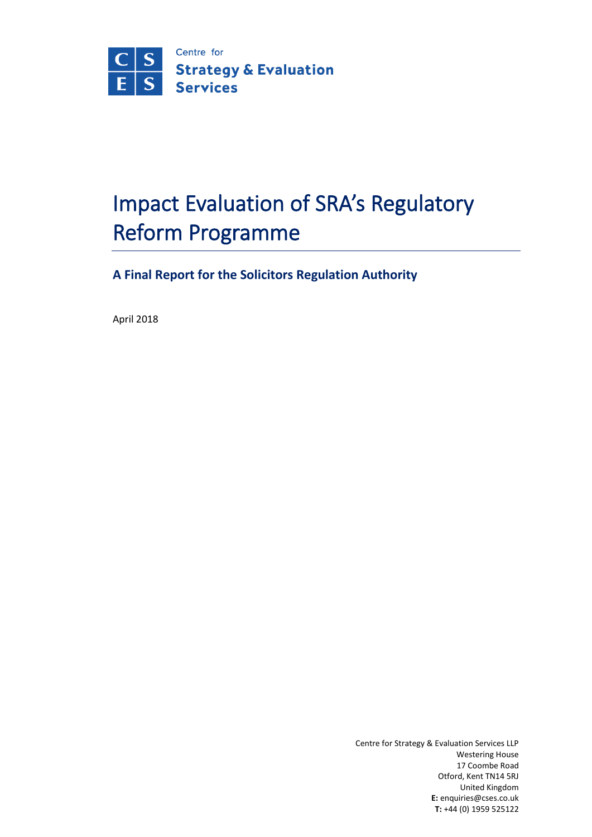

# Impact Evaluation of SRA's Regulatory Reform Programme

**A Final Report for the Solicitors Regulation Authority**

April 2018

Centre for Strategy & Evaluation Services LLP Westering House 17 Coombe Road Otford, Kent TN14 5RJ United Kingdom **E:** enquiries@cses.co.uk **T:** +44 (0) 1959 525122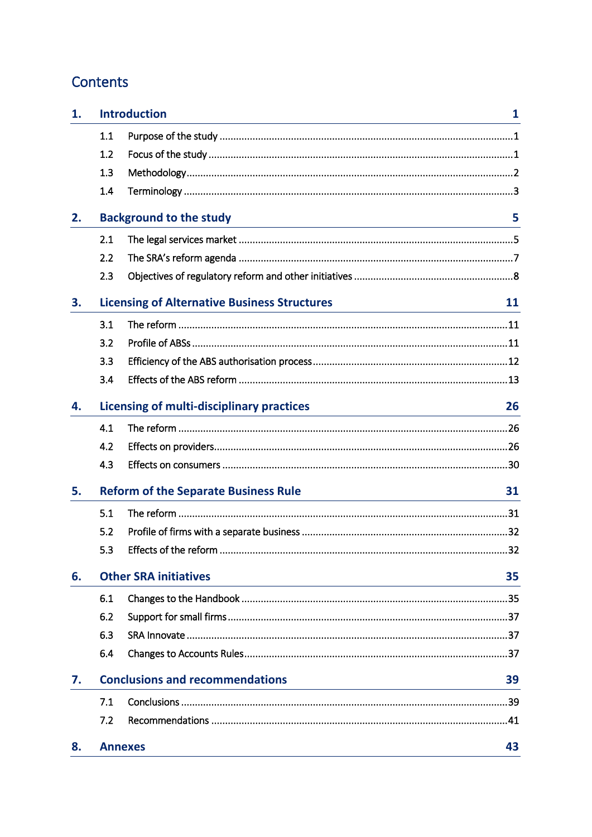# Contents

| 1. |                                              | <b>Introduction</b>                                                                                                                                                           | $\mathbf{1}$ |
|----|----------------------------------------------|-------------------------------------------------------------------------------------------------------------------------------------------------------------------------------|--------------|
|    | 1.1                                          |                                                                                                                                                                               |              |
|    | 1.2                                          |                                                                                                                                                                               |              |
|    | 1.3                                          |                                                                                                                                                                               |              |
|    | 1.4                                          |                                                                                                                                                                               |              |
| 2. |                                              | <b>Background to the study</b><br><u> 1980 - Johann Barn, amerikansk politiker (d. 1980)</u>                                                                                  | 5            |
|    | 2.1                                          |                                                                                                                                                                               |              |
|    | 2.2                                          |                                                                                                                                                                               |              |
|    | 2.3                                          |                                                                                                                                                                               |              |
| 3. |                                              | <b>Licensing of Alternative Business Structures</b><br><u> 1989 - Johann Barn, mars ann an t-Amhain Aonaich an t-Aonaich an t-Aonaich an t-Aonaich an t-Aonaich ann an t-</u> | 11           |
|    | 3.1                                          |                                                                                                                                                                               |              |
|    | 3.2                                          |                                                                                                                                                                               |              |
|    | 3.3                                          |                                                                                                                                                                               |              |
|    | 3.4                                          |                                                                                                                                                                               |              |
| 4. |                                              | <b>Licensing of multi-disciplinary practices</b><br><u> 1980 - Johann Barn, mars ann an t-Amhain an t-Amhain an t-Amhain an t-Amhain an t-Amhain an t-Amhain an t-A</u>       | 26           |
|    | 4.1                                          |                                                                                                                                                                               |              |
|    | 4.2                                          |                                                                                                                                                                               |              |
|    | 4.3                                          |                                                                                                                                                                               |              |
| 5. |                                              | <b>Reform of the Separate Business Rule</b>                                                                                                                                   | 31           |
|    | 5.1                                          |                                                                                                                                                                               |              |
|    | 5.2                                          |                                                                                                                                                                               |              |
|    | 5.3                                          | Effects of the reform                                                                                                                                                         | 32           |
| 6. | <b>Other SRA initiatives</b><br>35           |                                                                                                                                                                               |              |
|    | 6.1                                          |                                                                                                                                                                               |              |
|    | 6.2                                          |                                                                                                                                                                               |              |
|    | 6.3                                          |                                                                                                                                                                               |              |
|    | 6.4                                          |                                                                                                                                                                               |              |
| 7. | <b>Conclusions and recommendations</b><br>39 |                                                                                                                                                                               |              |
|    | 7.1                                          |                                                                                                                                                                               |              |
|    | 7.2                                          |                                                                                                                                                                               |              |
| 8. |                                              | <b>Annexes</b>                                                                                                                                                                | 43           |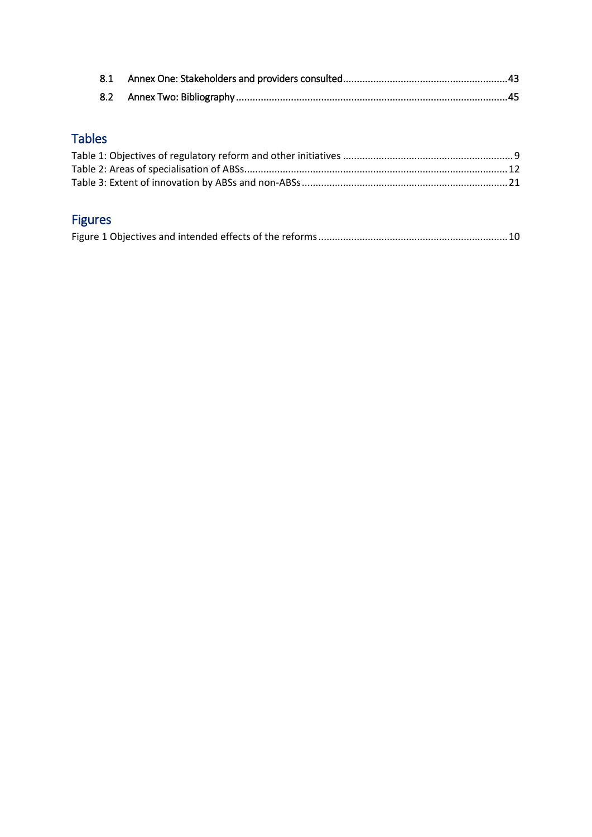# Tables

# Figures

|--|--|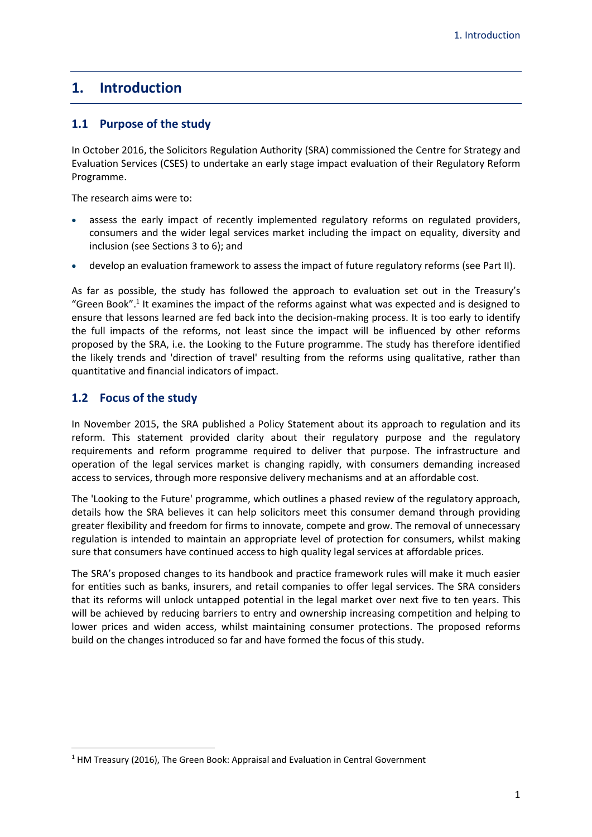# <span id="page-3-0"></span>**1. Introduction**

# <span id="page-3-1"></span>**1.1 Purpose of the study**

In October 2016, the Solicitors Regulation Authority (SRA) commissioned the Centre for Strategy and Evaluation Services (CSES) to undertake an early stage impact evaluation of their Regulatory Reform Programme.

The research aims were to:

- assess the early impact of recently implemented regulatory reforms on regulated providers, consumers and the wider legal services market including the impact on equality, diversity and inclusion (see Sections 3 to 6); and
- develop an evaluation framework to assess the impact of future regulatory reforms (see Part II).

As far as possible, the study has followed the approach to evaluation set out in the Treasury's "Green Book".<sup>1</sup> It examines the impact of the reforms against what was expected and is designed to ensure that lessons learned are fed back into the decision-making process. It is too early to identify the full impacts of the reforms, not least since the impact will be influenced by other reforms proposed by the SRA, i.e. the Looking to the Future programme. The study has therefore identified the likely trends and 'direction of travel' resulting from the reforms using qualitative, rather than quantitative and financial indicators of impact.

# <span id="page-3-2"></span>**1.2 Focus of the study**

**.** 

In November 2015, the SRA published a Policy Statement about its approach to regulation and its reform. This statement provided clarity about their regulatory purpose and the regulatory requirements and reform programme required to deliver that purpose. The infrastructure and operation of the legal services market is changing rapidly, with consumers demanding increased access to services, through more responsive delivery mechanisms and at an affordable cost.

The 'Looking to the Future' programme, which outlines a phased review of the regulatory approach, details how the SRA believes it can help solicitors meet this consumer demand through providing greater flexibility and freedom for firms to innovate, compete and grow. The removal of unnecessary regulation is intended to maintain an appropriate level of protection for consumers, whilst making sure that consumers have continued access to high quality legal services at affordable prices.

The SRA's proposed changes to its handbook and practice framework rules will make it much easier for entities such as banks, insurers, and retail companies to offer legal services. The SRA considers that its reforms will unlock untapped potential in the legal market over next five to ten years. This will be achieved by reducing barriers to entry and ownership increasing competition and helping to lower prices and widen access, whilst maintaining consumer protections. The proposed reforms build on the changes introduced so far and have formed the focus of this study.

<sup>&</sup>lt;sup>1</sup> HM Treasury (2016), The Green Book: Appraisal and Evaluation in Central Government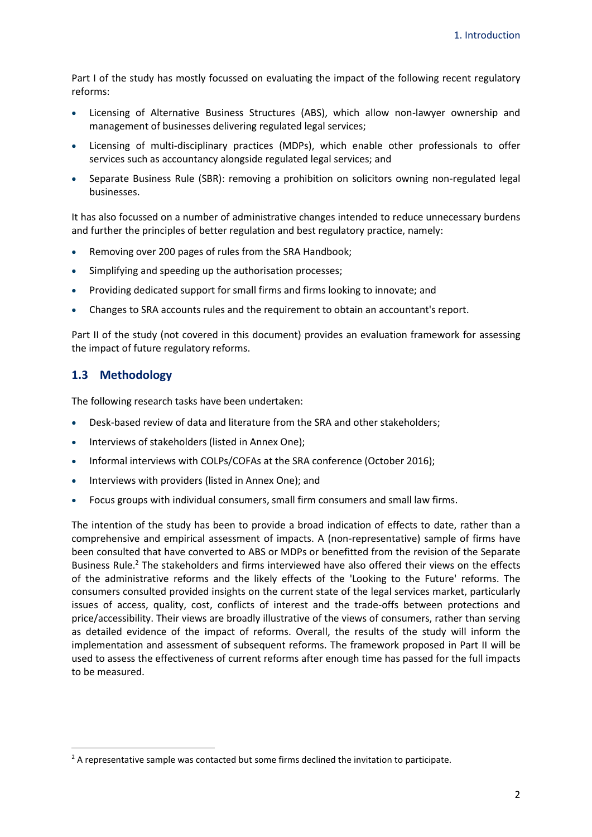Part I of the study has mostly focussed on evaluating the impact of the following recent regulatory reforms:

- Licensing of Alternative Business Structures (ABS), which allow non-lawyer ownership and management of businesses delivering regulated legal services;
- Licensing of multi-disciplinary practices (MDPs), which enable other professionals to offer services such as accountancy alongside regulated legal services; and
- Separate Business Rule (SBR): removing a prohibition on solicitors owning non-regulated legal businesses.

It has also focussed on a number of administrative changes intended to reduce unnecessary burdens and further the principles of better regulation and best regulatory practice, namely:

- Removing over 200 pages of rules from the SRA Handbook;
- Simplifying and speeding up the authorisation processes;
- Providing dedicated support for small firms and firms looking to innovate; and
- Changes to SRA accounts rules and the requirement to obtain an accountant's report.

Part II of the study (not covered in this document) provides an evaluation framework for assessing the impact of future regulatory reforms.

### <span id="page-4-0"></span>**1.3 Methodology**

**.** 

The following research tasks have been undertaken:

- Desk-based review of data and literature from the SRA and other stakeholders;
- Interviews of stakeholders (listed in Annex One);
- Informal interviews with COLPs/COFAs at the SRA conference (October 2016);
- Interviews with providers (listed in Annex One); and
- Focus groups with individual consumers, small firm consumers and small law firms.

The intention of the study has been to provide a broad indication of effects to date, rather than a comprehensive and empirical assessment of impacts. A (non-representative) sample of firms have been consulted that have converted to ABS or MDPs or benefitted from the revision of the Separate Business Rule.<sup>2</sup> The stakeholders and firms interviewed have also offered their views on the effects of the administrative reforms and the likely effects of the 'Looking to the Future' reforms. The consumers consulted provided insights on the current state of the legal services market, particularly issues of access, quality, cost, conflicts of interest and the trade-offs between protections and price/accessibility. Their views are broadly illustrative of the views of consumers, rather than serving as detailed evidence of the impact of reforms. Overall, the results of the study will inform the implementation and assessment of subsequent reforms. The framework proposed in Part II will be used to assess the effectiveness of current reforms after enough time has passed for the full impacts to be measured.

<sup>&</sup>lt;sup>2</sup> A representative sample was contacted but some firms declined the invitation to participate.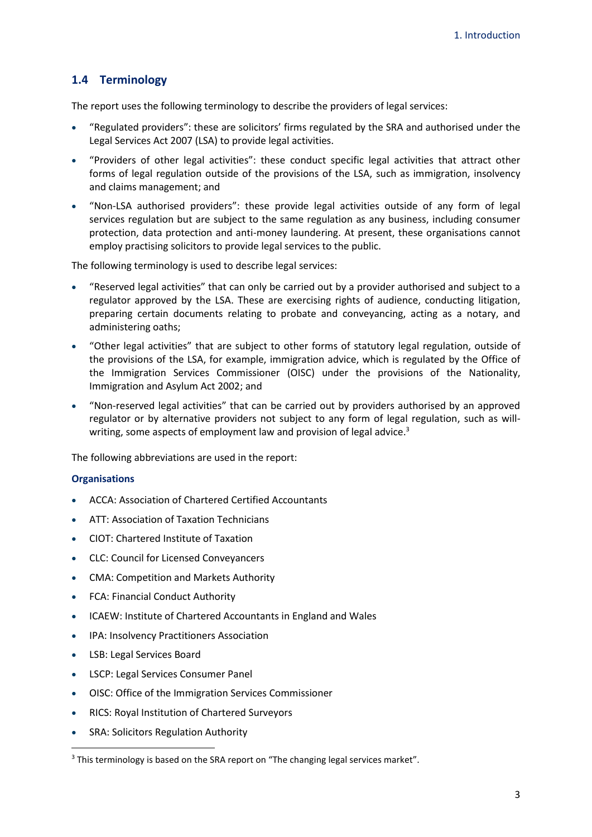# <span id="page-5-0"></span>**1.4 Terminology**

The report uses the following terminology to describe the providers of legal services:

- "Regulated providers": these are solicitors' firms regulated by the SRA and authorised under the Legal Services Act 2007 (LSA) to provide legal activities.
- "Providers of other legal activities": these conduct specific legal activities that attract other forms of legal regulation outside of the provisions of the LSA, such as immigration, insolvency and claims management; and
- "Non-LSA authorised providers": these provide legal activities outside of any form of legal services regulation but are subject to the same regulation as any business, including consumer protection, data protection and anti-money laundering. At present, these organisations cannot employ practising solicitors to provide legal services to the public.

The following terminology is used to describe legal services:

- "Reserved legal activities" that can only be carried out by a provider authorised and subject to a regulator approved by the LSA. These are exercising rights of audience, conducting litigation, preparing certain documents relating to probate and conveyancing, acting as a notary, and administering oaths;
- "Other legal activities" that are subject to other forms of statutory legal regulation, outside of the provisions of the LSA, for example, immigration advice, which is regulated by the Office of the Immigration Services Commissioner (OISC) under the provisions of the Nationality, Immigration and Asylum Act 2002; and
- "Non-reserved legal activities" that can be carried out by providers authorised by an approved regulator or by alternative providers not subject to any form of legal regulation, such as willwriting, some aspects of employment law and provision of legal advice.<sup>3</sup>

The following abbreviations are used in the report:

#### **Organisations**

- ACCA: Association of Chartered Certified Accountants
- ATT: Association of Taxation Technicians
- CIOT: Chartered Institute of Taxation
- CLC: Council for Licensed Conveyancers
- CMA: Competition and Markets Authority
- FCA: Financial Conduct Authority
- ICAEW: Institute of Chartered Accountants in England and Wales
- IPA: Insolvency Practitioners Association
- LSB: Legal Services Board

- LSCP: Legal Services Consumer Panel
- OISC: Office of the Immigration Services Commissioner
- RICS: Royal Institution of Chartered Surveyors
- SRA: Solicitors Regulation Authority

<sup>&</sup>lt;sup>3</sup> This terminology is based on the SRA report on "The changing legal services market".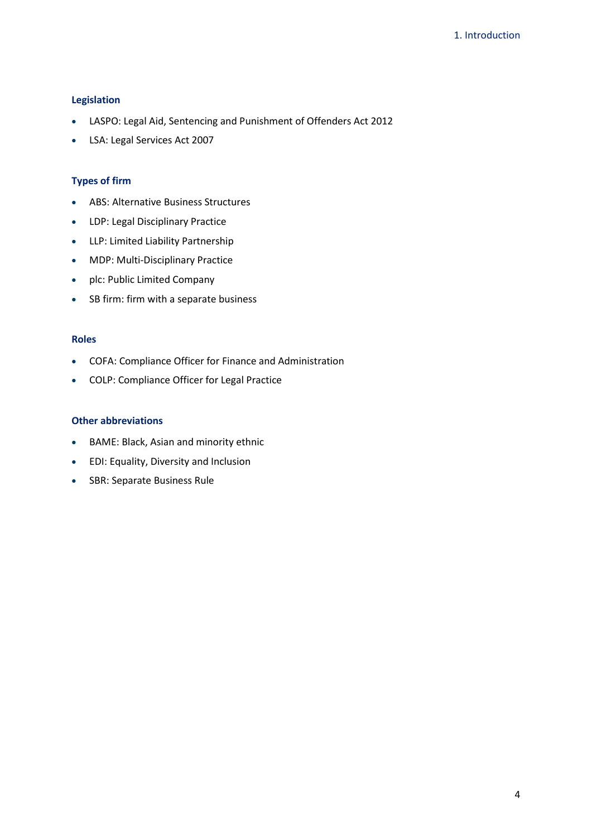#### **Legislation**

- LASPO: Legal Aid, Sentencing and Punishment of Offenders Act 2012
- LSA: Legal Services Act 2007

### **Types of firm**

- ABS: Alternative Business Structures
- LDP: Legal Disciplinary Practice
- LLP: Limited Liability Partnership
- MDP: Multi-Disciplinary Practice
- plc: Public Limited Company
- SB firm: firm with a separate business

#### **Roles**

- COFA: Compliance Officer for Finance and Administration
- COLP: Compliance Officer for Legal Practice

#### **Other abbreviations**

- BAME: Black, Asian and minority ethnic
- EDI: Equality, Diversity and Inclusion
- SBR: Separate Business Rule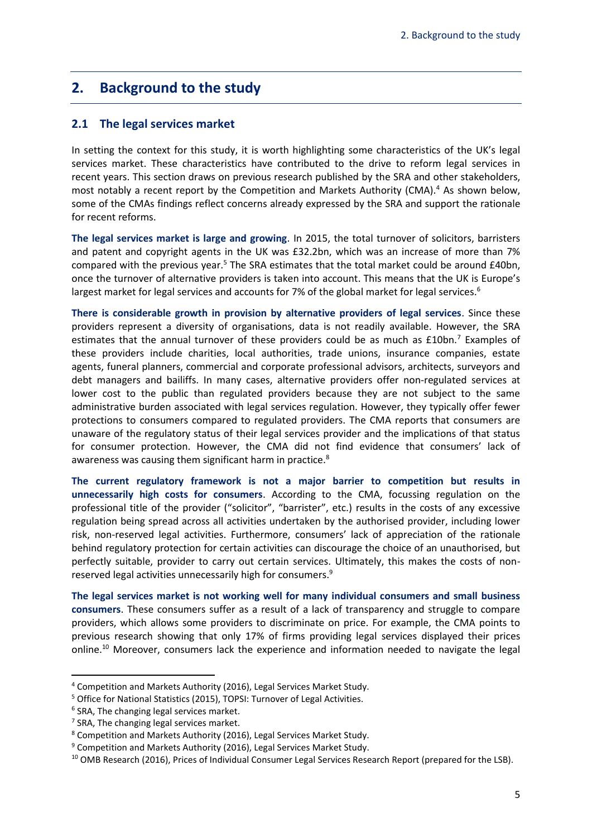# <span id="page-7-0"></span>**2. Background to the study**

#### <span id="page-7-1"></span>**2.1 The legal services market**

In setting the context for this study, it is worth highlighting some characteristics of the UK's legal services market. These characteristics have contributed to the drive to reform legal services in recent years. This section draws on previous research published by the SRA and other stakeholders, most notably a recent report by the Competition and Markets Authority (CMA).<sup>4</sup> As shown below, some of the CMAs findings reflect concerns already expressed by the SRA and support the rationale for recent reforms.

**The legal services market is large and growing**. In 2015, the total turnover of solicitors, barristers and patent and copyright agents in the UK was £32.2bn, which was an increase of more than 7% compared with the previous year.<sup>5</sup> The SRA estimates that the total market could be around  $£40$ bn, once the turnover of alternative providers is taken into account. This means that the UK is Europe's largest market for legal services and accounts for 7% of the global market for legal services.<sup>6</sup>

**There is considerable growth in provision by alternative providers of legal services**. Since these providers represent a diversity of organisations, data is not readily available. However, the SRA estimates that the annual turnover of these providers could be as much as £10bn.<sup>7</sup> Examples of these providers include charities, local authorities, trade unions, insurance companies, estate agents, funeral planners, commercial and corporate professional advisors, architects, surveyors and debt managers and bailiffs. In many cases, alternative providers offer non-regulated services at lower cost to the public than regulated providers because they are not subject to the same administrative burden associated with legal services regulation. However, they typically offer fewer protections to consumers compared to regulated providers. The CMA reports that consumers are unaware of the regulatory status of their legal services provider and the implications of that status for consumer protection. However, the CMA did not find evidence that consumers' lack of awareness was causing them significant harm in practice.<sup>8</sup>

**The current regulatory framework is not a major barrier to competition but results in unnecessarily high costs for consumers**. According to the CMA, focussing regulation on the professional title of the provider ("solicitor", "barrister", etc.) results in the costs of any excessive regulation being spread across all activities undertaken by the authorised provider, including lower risk, non-reserved legal activities. Furthermore, consumers' lack of appreciation of the rationale behind regulatory protection for certain activities can discourage the choice of an unauthorised, but perfectly suitable, provider to carry out certain services. Ultimately, this makes the costs of nonreserved legal activities unnecessarily high for consumers.<sup>9</sup>

**The legal services market is not working well for many individual consumers and small business consumers**. These consumers suffer as a result of a lack of transparency and struggle to compare providers, which allows some providers to discriminate on price. For example, the CMA points to previous research showing that only 17% of firms providing legal services displayed their prices online.<sup>10</sup> Moreover, consumers lack the experience and information needed to navigate the legal

<sup>4</sup> Competition and Markets Authority (2016), Legal Services Market Study.

<sup>&</sup>lt;sup>5</sup> Office for National Statistics (2015), TOPSI: Turnover of Legal Activities.

<sup>6</sup> SRA, The changing legal services market.

 $7$  SRA, The changing legal services market.

<sup>8</sup> Competition and Markets Authority (2016), Legal Services Market Study.

<sup>&</sup>lt;sup>9</sup> Competition and Markets Authority (2016), Legal Services Market Study.

<sup>&</sup>lt;sup>10</sup> OMB Research (2016), Prices of Individual Consumer Legal Services Research Report (prepared for the LSB).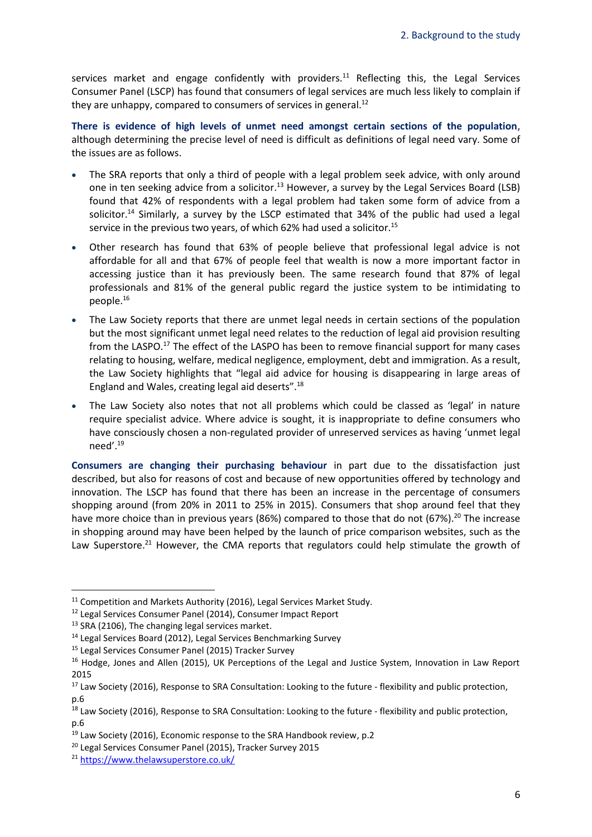services market and engage confidently with providers.<sup>11</sup> Reflecting this, the Legal Services Consumer Panel (LSCP) has found that consumers of legal services are much less likely to complain if they are unhappy, compared to consumers of services in general.<sup>12</sup>

**There is evidence of high levels of unmet need amongst certain sections of the population**, although determining the precise level of need is difficult as definitions of legal need vary. Some of the issues are as follows.

- The SRA reports that only a third of people with a legal problem seek advice, with only around one in ten seeking advice from a solicitor.<sup>13</sup> However, a survey by the Legal Services Board (LSB) found that 42% of respondents with a legal problem had taken some form of advice from a solicitor.<sup>14</sup> Similarly, a survey by the LSCP estimated that  $34%$  of the public had used a legal service in the previous two years, of which 62% had used a solicitor.<sup>15</sup>
- Other research has found that 63% of people believe that professional legal advice is not affordable for all and that 67% of people feel that wealth is now a more important factor in accessing justice than it has previously been. The same research found that 87% of legal professionals and 81% of the general public regard the justice system to be intimidating to people.<sup>16</sup>
- The Law Society reports that there are unmet legal needs in certain sections of the population but the most significant unmet legal need relates to the reduction of legal aid provision resulting from the LASPO.<sup>17</sup> The effect of the LASPO has been to remove financial support for many cases relating to housing, welfare, medical negligence, employment, debt and immigration. As a result, the Law Society highlights that "legal aid advice for housing is disappearing in large areas of England and Wales, creating legal aid deserts".<sup>18</sup>
- The Law Society also notes that not all problems which could be classed as 'legal' in nature require specialist advice. Where advice is sought, it is inappropriate to define consumers who have consciously chosen a non-regulated provider of unreserved services as having 'unmet legal need'.<sup>19</sup>

**Consumers are changing their purchasing behaviour** in part due to the dissatisfaction just described, but also for reasons of cost and because of new opportunities offered by technology and innovation. The LSCP has found that there has been an increase in the percentage of consumers shopping around (from 20% in 2011 to 25% in 2015). Consumers that shop around feel that they have more choice than in previous years (86%) compared to those that do not (67%).<sup>20</sup> The increase in shopping around may have been helped by the launch of price comparison websites, such as the Law Superstore.<sup>21</sup> However, the CMA reports that regulators could help stimulate the growth of

**.** 

<sup>15</sup> Legal Services Consumer Panel (2015) Tracker Survey

<sup>&</sup>lt;sup>11</sup> Competition and Markets Authority (2016), Legal Services Market Study.

<sup>12</sup> Legal Services Consumer Panel (2014), Consumer Impact Report

<sup>&</sup>lt;sup>13</sup> SRA (2106), The changing legal services market.

<sup>&</sup>lt;sup>14</sup> Legal Services Board (2012), Legal Services Benchmarking Survey

<sup>&</sup>lt;sup>16</sup> Hodge, Jones and Allen (2015), UK Perceptions of the Legal and Justice System, Innovation in Law Report 2015

<sup>&</sup>lt;sup>17</sup> Law Society (2016), Response to SRA Consultation: Looking to the future - flexibility and public protection, p.6

<sup>&</sup>lt;sup>18</sup> Law Society (2016), Response to SRA Consultation: Looking to the future - flexibility and public protection, p.6

<sup>&</sup>lt;sup>19</sup> Law Society (2016), Economic response to the SRA Handbook review, p.2

<sup>20</sup> Legal Services Consumer Panel (2015), Tracker Survey 2015

<sup>21</sup> <https://www.thelawsuperstore.co.uk/>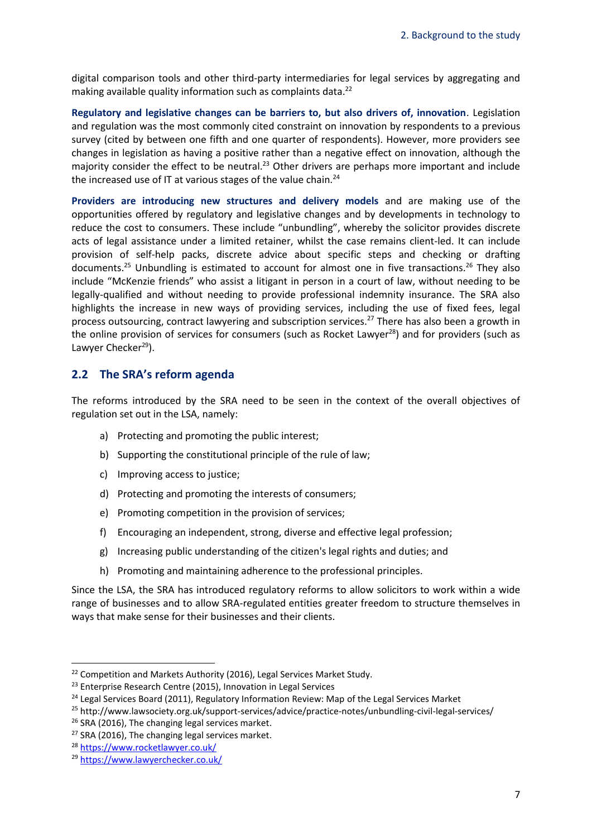digital comparison tools and other third-party intermediaries for legal services by aggregating and making available quality information such as complaints data.<sup>22</sup>

**Regulatory and legislative changes can be barriers to, but also drivers of, innovation**. Legislation and regulation was the most commonly cited constraint on innovation by respondents to a previous survey (cited by between one fifth and one quarter of respondents). However, more providers see changes in legislation as having a positive rather than a negative effect on innovation, although the majority consider the effect to be neutral.<sup>23</sup> Other drivers are perhaps more important and include the increased use of IT at various stages of the value chain.<sup>24</sup>

**Providers are introducing new structures and delivery models** and are making use of the opportunities offered by regulatory and legislative changes and by developments in technology to reduce the cost to consumers. These include "unbundling", whereby the solicitor provides discrete acts of legal assistance under a limited retainer, whilst the case remains client-led. It can include provision of self-help packs, discrete advice about specific steps and checking or drafting documents.<sup>25</sup> Unbundling is estimated to account for almost one in five transactions.<sup>26</sup> They also include "McKenzie friends" who assist a litigant in person in a court of law, without needing to be legally-qualified and without needing to provide professional indemnity insurance. The SRA also highlights the increase in new ways of providing services, including the use of fixed fees, legal process outsourcing, contract lawyering and subscription services.<sup>27</sup> There has also been a growth in the online provision of services for consumers (such as Rocket Lawyer<sup>28</sup>) and for providers (such as Lawyer Checker<sup>29</sup>).

### <span id="page-9-0"></span>**2.2 The SRA's reform agenda**

The reforms introduced by the SRA need to be seen in the context of the overall objectives of regulation set out in the LSA, namely:

- a) Protecting and promoting the public interest;
- b) Supporting the constitutional principle of the rule of law;
- c) Improving access to justice;
- d) Protecting and promoting the interests of consumers;
- e) Promoting competition in the provision of services;
- f) Encouraging an independent, strong, diverse and effective legal profession;
- g) Increasing public understanding of the citizen's legal rights and duties; and
- h) Promoting and maintaining adherence to the professional principles.

Since the LSA, the SRA has introduced regulatory reforms to allow solicitors to work within a wide range of businesses and to allow SRA-regulated entities greater freedom to structure themselves in ways that make sense for their businesses and their clients.

1

<sup>&</sup>lt;sup>22</sup> Competition and Markets Authority (2016), Legal Services Market Study.

<sup>&</sup>lt;sup>23</sup> Enterprise Research Centre (2015), Innovation in Legal Services

<sup>&</sup>lt;sup>24</sup> Legal Services Board (2011), Regulatory Information Review: Map of the Legal Services Market

<sup>25</sup> http://www.lawsociety.org.uk/support-services/advice/practice-notes/unbundling-civil-legal-services/

<sup>&</sup>lt;sup>26</sup> SRA (2016), The changing legal services market.

<sup>&</sup>lt;sup>27</sup> SRA (2016), The changing legal services market.

<sup>28</sup> <https://www.rocketlawyer.co.uk/>

<sup>29</sup> <https://www.lawyerchecker.co.uk/>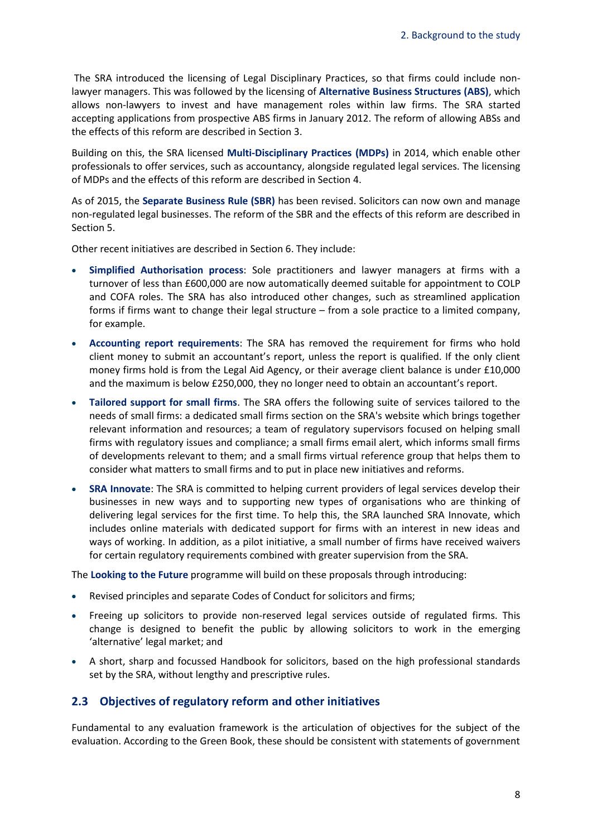The SRA introduced the licensing of Legal Disciplinary Practices, so that firms could include nonlawyer managers. This was followed by the licensing of **Alternative Business Structures (ABS)**, which allows non-lawyers to invest and have management roles within law firms. The SRA started accepting applications from prospective ABS firms in January 2012. The reform of allowing ABSs and the effects of this reform are described in Sectio[n 3.](#page-13-0)

Building on this, the SRA licensed **Multi-Disciplinary Practices (MDPs)** in 2014, which enable other professionals to offer services, such as accountancy, alongside regulated legal services. The licensing of MDPs and the effects of this reform are described in Section [4.](#page-28-0)

As of 2015, the **Separate Business Rule (SBR)** has been revised. Solicitors can now own and manage non-regulated legal businesses. The reform of the SBR and the effects of this reform are described in Sectio[n 5.](#page-33-0)

Other recent initiatives are described in Section [6.](#page-37-0) They include:

- **Simplified Authorisation process**: Sole practitioners and lawyer managers at firms with a turnover of less than £600,000 are now automatically deemed suitable for appointment to COLP and COFA roles. The SRA has also introduced other changes, such as streamlined application forms if firms want to change their legal structure – from a sole practice to a limited company, for example.
- **Accounting report requirements**: The SRA has removed the requirement for firms who hold client money to submit an accountant's report, unless the report is qualified. If the only client money firms hold is from the Legal Aid Agency, or their average client balance is under £10,000 and the maximum is below £250,000, they no longer need to obtain an accountant's report.
- **Tailored support for small firms**. The SRA offers the following suite of services tailored to the needs of small firms: a dedicated small firms section on the SRA's website which brings together relevant information and resources; a team of regulatory supervisors focused on helping small firms with regulatory issues and compliance; a small firms email alert, which informs small firms of developments relevant to them; and a small firms virtual reference group that helps them to consider what matters to small firms and to put in place new initiatives and reforms.
- **SRA Innovate**: The SRA is committed to helping current providers of legal services develop their businesses in new ways and to supporting new types of organisations who are thinking of delivering legal services for the first time. To help this, the SRA launched SRA Innovate, which includes online materials with dedicated support for firms with an interest in new ideas and ways of working. In addition, as a pilot initiative, a small number of firms have received waivers for certain regulatory requirements combined with greater supervision from the SRA.

The **Looking to the Future** programme will build on these proposals through introducing:

- Revised principles and separate Codes of Conduct for solicitors and firms;
- Freeing up solicitors to provide non-reserved legal services outside of regulated firms. This change is designed to benefit the public by allowing solicitors to work in the emerging 'alternative' legal market; and
- A short, sharp and focussed Handbook for solicitors, based on the high professional standards set by the SRA, without lengthy and prescriptive rules.

### <span id="page-10-0"></span>**2.3 Objectives of regulatory reform and other initiatives**

Fundamental to any evaluation framework is the articulation of objectives for the subject of the evaluation. According to the Green Book, these should be consistent with statements of government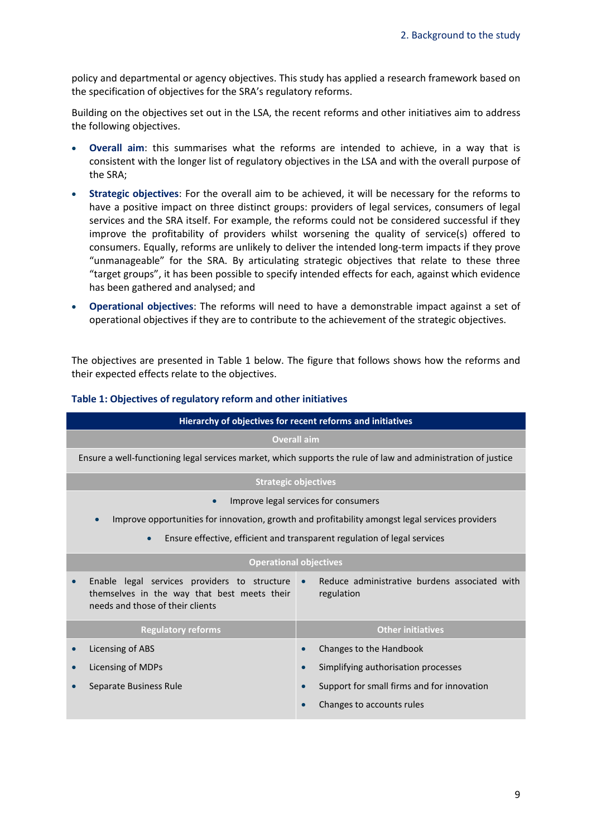policy and departmental or agency objectives. This study has applied a research framework based on the specification of objectives for the SRA's regulatory reforms.

Building on the objectives set out in the LSA, the recent reforms and other initiatives aim to address the following objectives.

- **Overall aim**: this summarises what the reforms are intended to achieve, in a way that is consistent with the longer list of regulatory objectives in the LSA and with the overall purpose of the SRA;
- **Strategic objectives**: For the overall aim to be achieved, it will be necessary for the reforms to have a positive impact on three distinct groups: providers of legal services, consumers of legal services and the SRA itself. For example, the reforms could not be considered successful if they improve the profitability of providers whilst worsening the quality of service(s) offered to consumers. Equally, reforms are unlikely to deliver the intended long-term impacts if they prove "unmanageable" for the SRA. By articulating strategic objectives that relate to these three "target groups", it has been possible to specify intended effects for each, against which evidence has been gathered and analysed; and
- **Operational objectives**: The reforms will need to have a demonstrable impact against a set of operational objectives if they are to contribute to the achievement of the strategic objectives.

The objectives are presented in [Table 1](#page-11-0) below. The figure that follows shows how the reforms and their expected effects relate to the objectives.

| Hierarchy of objectives for recent reforms and initiatives                                                                      |                                                                          |  |  |
|---------------------------------------------------------------------------------------------------------------------------------|--------------------------------------------------------------------------|--|--|
| <b>Overall aim</b>                                                                                                              |                                                                          |  |  |
| Ensure a well-functioning legal services market, which supports the rule of law and administration of justice                   |                                                                          |  |  |
|                                                                                                                                 | <b>Strategic objectives</b>                                              |  |  |
| Improve legal services for consumers                                                                                            |                                                                          |  |  |
| Improve opportunities for innovation, growth and profitability amongst legal services providers                                 |                                                                          |  |  |
| Ensure effective, efficient and transparent regulation of legal services<br>$\bullet$                                           |                                                                          |  |  |
|                                                                                                                                 | <b>Operational objectives</b>                                            |  |  |
| Enable legal services providers to structure<br>themselves in the way that best meets their<br>needs and those of their clients | Reduce administrative burdens associated with<br>$\bullet$<br>regulation |  |  |
| <b>Regulatory reforms</b>                                                                                                       | <b>Other initiatives</b>                                                 |  |  |
| Licensing of ABS                                                                                                                | Changes to the Handbook                                                  |  |  |
| Licensing of MDPs<br>$\bullet$                                                                                                  | Simplifying authorisation processes                                      |  |  |
| Separate Business Rule                                                                                                          | Support for small firms and for innovation                               |  |  |
|                                                                                                                                 | Changes to accounts rules                                                |  |  |

#### <span id="page-11-0"></span>**Table 1: Objectives of regulatory reform and other initiatives**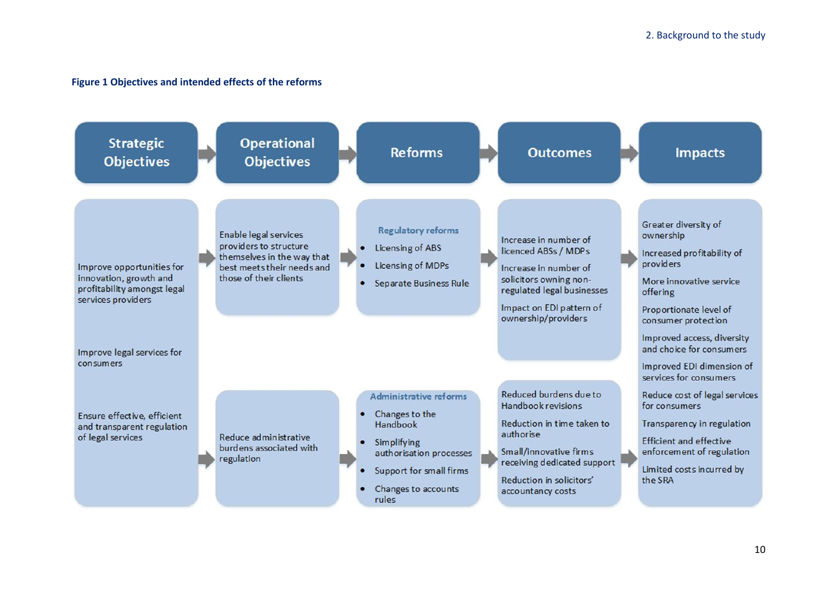#### **Figure 1 Objectives and intended effects of the reforms**

<span id="page-12-0"></span>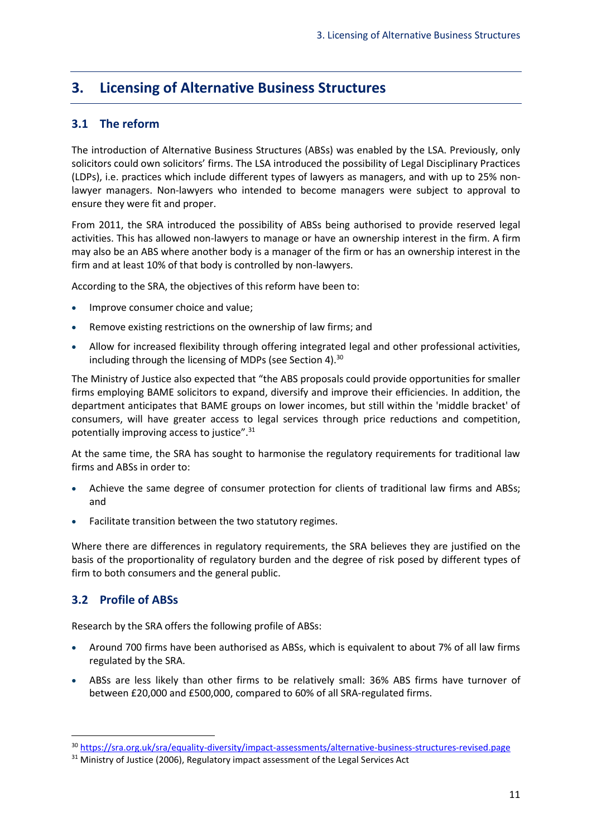# <span id="page-13-0"></span>**3. Licensing of Alternative Business Structures**

# <span id="page-13-1"></span>**3.1 The reform**

The introduction of Alternative Business Structures (ABSs) was enabled by the LSA. Previously, only solicitors could own solicitors' firms. The LSA introduced the possibility of Legal Disciplinary Practices (LDPs), i.e. practices which include different types of lawyers as managers, and with up to 25% nonlawyer managers. Non-lawyers who intended to become managers were subject to approval to ensure they were fit and proper.

From 2011, the SRA introduced the possibility of ABSs being authorised to provide reserved legal activities. This has allowed non-lawyers to manage or have an ownership interest in the firm. A firm may also be an ABS where another body is a manager of the firm or has an ownership interest in the firm and at least 10% of that body is controlled by non-lawyers.

According to the SRA, the objectives of this reform have been to:

- Improve consumer choice and value;
- Remove existing restrictions on the ownership of law firms; and
- Allow for increased flexibility through offering integrated legal and other professional activities, including through the licensing of MDPs (see Sectio[n 4\)](#page-28-0).<sup>30</sup>

The Ministry of Justice also expected that "the ABS proposals could provide opportunities for smaller firms employing BAME solicitors to expand, diversify and improve their efficiencies. In addition, the department anticipates that BAME groups on lower incomes, but still within the 'middle bracket' of consumers, will have greater access to legal services through price reductions and competition, potentially improving access to justice".<sup>31</sup>

At the same time, the SRA has sought to harmonise the regulatory requirements for traditional law firms and ABSs in order to:

- Achieve the same degree of consumer protection for clients of traditional law firms and ABSs; and
- Facilitate transition between the two statutory regimes.

Where there are differences in regulatory requirements, the SRA believes they are justified on the basis of the proportionality of regulatory burden and the degree of risk posed by different types of firm to both consumers and the general public.

# <span id="page-13-2"></span>**3.2 Profile of ABSs**

1

Research by the SRA offers the following profile of ABSs:

- Around 700 firms have been authorised as ABSs, which is equivalent to about 7% of all law firms regulated by the SRA.
- ABSs are less likely than other firms to be relatively small: 36% ABS firms have turnover of between £20,000 and £500,000, compared to 60% of all SRA-regulated firms.

<sup>30</sup> <https://sra.org.uk/sra/equality-diversity/impact-assessments/alternative-business-structures-revised.page>

<sup>&</sup>lt;sup>31</sup> Ministry of Justice (2006), Regulatory impact assessment of the Legal Services Act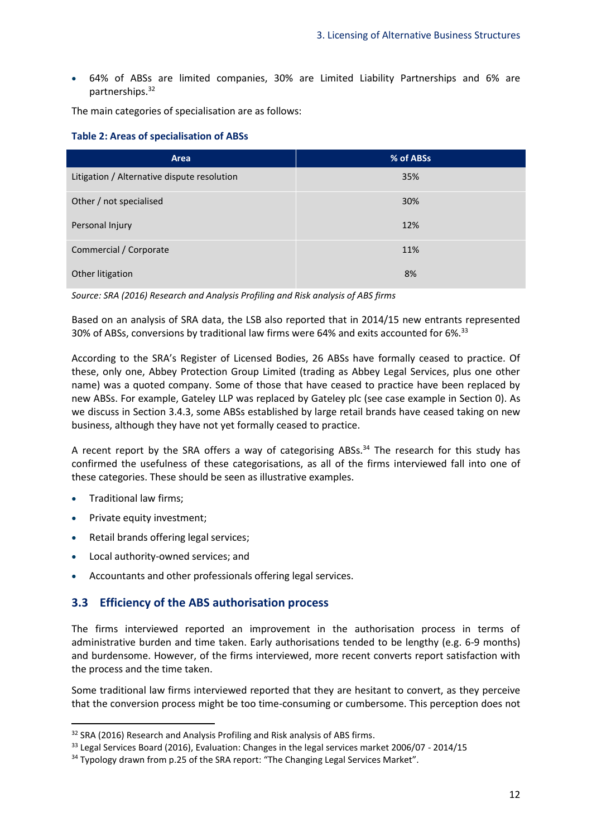• 64% of ABSs are limited companies, 30% are Limited Liability Partnerships and 6% are partnerships. 32

The main categories of specialisation are as follows:

#### <span id="page-14-1"></span>**Table 2: Areas of specialisation of ABSs**

| Area                                        | % of ABSs |
|---------------------------------------------|-----------|
| Litigation / Alternative dispute resolution | 35%       |
| Other / not specialised                     | 30%       |
| Personal Injury                             | 12%       |
| Commercial / Corporate                      | 11%       |
| Other litigation                            | 8%        |

*Source: SRA (2016) Research and Analysis Profiling and Risk analysis of ABS firms*

Based on an analysis of SRA data, the LSB also reported that in 2014/15 new entrants represented 30% of ABSs, conversions by traditional law firms were 64% and exits accounted for 6%.<sup>33</sup>

According to the SRA's Register of Licensed Bodies, 26 ABSs have formally ceased to practice. Of these, only one, Abbey Protection Group Limited (trading as Abbey Legal Services, plus one other name) was a quoted company. Some of those that have ceased to practice have been replaced by new ABSs. For example, Gateley LLP was replaced by Gateley plc (see case example in Section [0\)](#page-18-0). As we discuss in Section [3.4.3,](#page-19-0) some ABSs established by large retail brands have ceased taking on new business, although they have not yet formally ceased to practice.

A recent report by the SRA offers a way of categorising ABSs.<sup>34</sup> The research for this study has confirmed the usefulness of these categorisations, as all of the firms interviewed fall into one of these categories. These should be seen as illustrative examples.

• Traditional law firms;

**.** 

- Private equity investment;
- Retail brands offering legal services;
- Local authority-owned services; and
- Accountants and other professionals offering legal services.

# <span id="page-14-0"></span>**3.3 Efficiency of the ABS authorisation process**

The firms interviewed reported an improvement in the authorisation process in terms of administrative burden and time taken. Early authorisations tended to be lengthy (e.g. 6-9 months) and burdensome. However, of the firms interviewed, more recent converts report satisfaction with the process and the time taken.

Some traditional law firms interviewed reported that they are hesitant to convert, as they perceive that the conversion process might be too time-consuming or cumbersome. This perception does not

<sup>&</sup>lt;sup>32</sup> SRA (2016) Research and Analysis Profiling and Risk analysis of ABS firms.

<sup>&</sup>lt;sup>33</sup> Legal Services Board (2016), Evaluation: Changes in the legal services market 2006/07 - 2014/15

<sup>&</sup>lt;sup>34</sup> Typology drawn from p.25 of the SRA report: "The Changing Legal Services Market".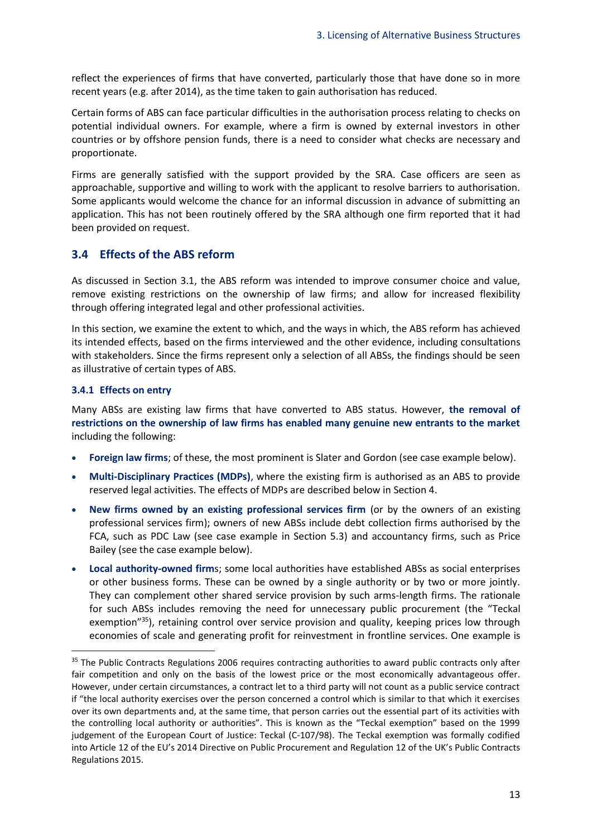reflect the experiences of firms that have converted, particularly those that have done so in more recent years (e.g. after 2014), as the time taken to gain authorisation has reduced.

Certain forms of ABS can face particular difficulties in the authorisation process relating to checks on potential individual owners. For example, where a firm is owned by external investors in other countries or by offshore pension funds, there is a need to consider what checks are necessary and proportionate.

Firms are generally satisfied with the support provided by the SRA. Case officers are seen as approachable, supportive and willing to work with the applicant to resolve barriers to authorisation. Some applicants would welcome the chance for an informal discussion in advance of submitting an application. This has not been routinely offered by the SRA although one firm reported that it had been provided on request.

#### <span id="page-15-0"></span>**3.4 Effects of the ABS reform**

As discussed in Section [3.1,](#page-13-1) the ABS reform was intended to improve consumer choice and value, remove existing restrictions on the ownership of law firms; and allow for increased flexibility through offering integrated legal and other professional activities.

In this section, we examine the extent to which, and the ways in which, the ABS reform has achieved its intended effects, based on the firms interviewed and the other evidence, including consultations with stakeholders. Since the firms represent only a selection of all ABSs, the findings should be seen as illustrative of certain types of ABS.

#### <span id="page-15-1"></span>**3.4.1 Effects on entry**

1

Many ABSs are existing law firms that have converted to ABS status. However, **the removal of restrictions on the ownership of law firms has enabled many genuine new entrants to the market** including the following:

- **Foreign law firms**; of these, the most prominent is Slater and Gordon (see case example below).
- **Multi-Disciplinary Practices (MDPs)**, where the existing firm is authorised as an ABS to provide reserved legal activities. The effects of MDPs are described below in Section [4.](#page-28-0)
- **New firms owned by an existing professional services firm** (or by the owners of an existing professional services firm); owners of new ABSs include debt collection firms authorised by the FCA, such as PDC Law (see case example in Section [5.3\)](#page-34-1) and accountancy firms, such as Price Bailey (see the case example below).
- **Local authority-owned firm**s; some local authorities have established ABSs as social enterprises or other business forms. These can be owned by a single authority or by two or more jointly. They can complement other shared service provision by such arms-length firms. The rationale for such ABSs includes removing the need for unnecessary public procurement (the "Teckal exemption"<sup>35</sup>), retaining control over service provision and quality, keeping prices low through economies of scale and generating profit for reinvestment in frontline services. One example is

<sup>&</sup>lt;sup>35</sup> The Public Contracts Regulations 2006 requires contracting authorities to award public contracts only after fair competition and only on the basis of the lowest price or the most economically advantageous offer. However, under certain circumstances, a contract let to a third party will not count as a public service contract if "the local authority exercises over the person concerned a control which is similar to that which it exercises over its own departments and, at the same time, that person carries out the essential part of its activities with the controlling local authority or authorities". This is known as the "Teckal exemption" based on the 1999 judgement of the European Court of Justice: Teckal (C-107/98). The Teckal exemption was formally codified into Article 12 of the EU's 2014 Directive on Public Procurement and Regulation 12 of the UK's Public Contracts Regulations 2015.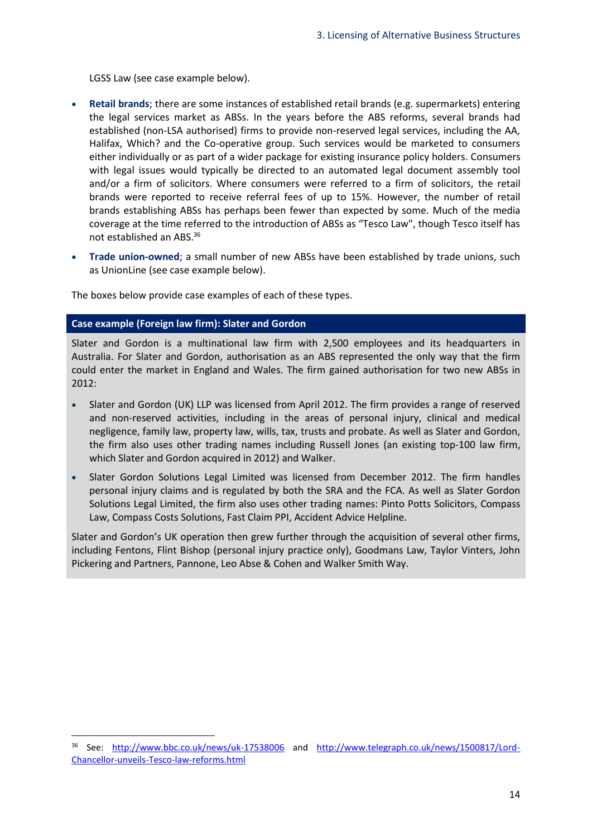LGSS Law (see case example below).

- **Retail brands**; there are some instances of established retail brands (e.g. supermarkets) entering the legal services market as ABSs. In the years before the ABS reforms, several brands had established (non-LSA authorised) firms to provide non-reserved legal services, including the AA, Halifax, Which? and the Co-operative group. Such services would be marketed to consumers either individually or as part of a wider package for existing insurance policy holders. Consumers with legal issues would typically be directed to an automated legal document assembly tool and/or a firm of solicitors. Where consumers were referred to a firm of solicitors, the retail brands were reported to receive referral fees of up to 15%. However, the number of retail brands establishing ABSs has perhaps been fewer than expected by some. Much of the media coverage at the time referred to the introduction of ABSs as "Tesco Law", though Tesco itself has not established an ABS.<sup>36</sup>
- **Trade union-owned**; a small number of new ABSs have been established by trade unions, such as UnionLine (see case example below).

The boxes below provide case examples of each of these types.

#### **Case example (Foreign law firm): Slater and Gordon**

1

Slater and Gordon is a multinational law firm with 2,500 employees and its headquarters in Australia. For Slater and Gordon, authorisation as an ABS represented the only way that the firm could enter the market in England and Wales. The firm gained authorisation for two new ABSs in 2012:

- Slater and Gordon (UK) LLP was licensed from April 2012. The firm provides a range of reserved and non-reserved activities, including in the areas of personal injury, clinical and medical negligence, family law, property law, wills, tax, trusts and probate. As well as Slater and Gordon, the firm also uses other trading names including Russell Jones (an existing top-100 law firm, which Slater and Gordon acquired in 2012) and Walker.
- Slater Gordon Solutions Legal Limited was licensed from December 2012. The firm handles personal injury claims and is regulated by both the SRA and the FCA. As well as Slater Gordon Solutions Legal Limited, the firm also uses other trading names: Pinto Potts Solicitors, Compass Law, Compass Costs Solutions, Fast Claim PPI, Accident Advice Helpline.

Slater and Gordon's UK operation then grew further through the acquisition of several other firms, including Fentons, Flint Bishop (personal injury practice only), Goodmans Law, Taylor Vinters, John Pickering and Partners, Pannone, Leo Abse & Cohen and Walker Smith Way.

<sup>36</sup> See: <http://www.bbc.co.uk/news/uk-17538006> and [http://www.telegraph.co.uk/news/1500817/Lord-](http://www.telegraph.co.uk/news/1500817/Lord-Chancellor-unveils-Tesco-law-reforms.html)[Chancellor-unveils-Tesco-law-reforms.html](http://www.telegraph.co.uk/news/1500817/Lord-Chancellor-unveils-Tesco-law-reforms.html)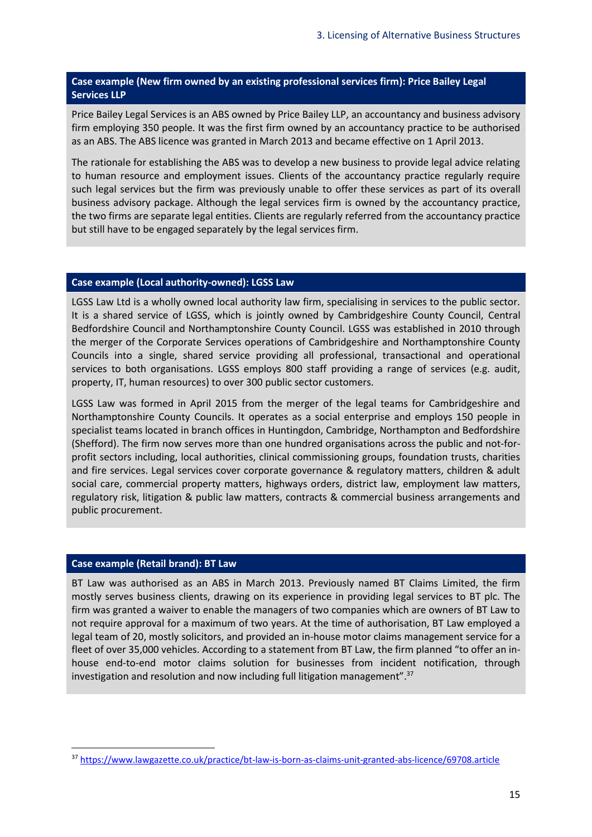### **Case example (New firm owned by an existing professional services firm): Price Bailey Legal Services LLP**

Price Bailey Legal Services is an ABS owned by Price Bailey LLP, an accountancy and business advisory firm employing 350 people. It was the first firm owned by an accountancy practice to be authorised as an ABS. The ABS licence was granted in March 2013 and became effective on 1 April 2013.

The rationale for establishing the ABS was to develop a new business to provide legal advice relating to human resource and employment issues. Clients of the accountancy practice regularly require such legal services but the firm was previously unable to offer these services as part of its overall business advisory package. Although the legal services firm is owned by the accountancy practice, the two firms are separate legal entities. Clients are regularly referred from the accountancy practice but still have to be engaged separately by the legal services firm.

#### **Case example (Local authority-owned): LGSS Law**

LGSS Law Ltd is a wholly owned local authority law firm, specialising in services to the public sector. It is a shared service of LGSS, which is jointly owned by Cambridgeshire County Council, Central Bedfordshire Council and Northamptonshire County Council. LGSS was established in 2010 through the merger of the Corporate Services operations of Cambridgeshire and Northamptonshire County Councils into a single, shared service providing all professional, transactional and operational services to both organisations. LGSS employs 800 staff providing a range of services (e.g. audit, property, IT, human resources) to over 300 public sector customers.

LGSS Law was formed in April 2015 from the merger of the legal teams for Cambridgeshire and Northamptonshire County Councils. It operates as a social enterprise and employs 150 people in specialist teams located in branch offices in Huntingdon, Cambridge, Northampton and Bedfordshire (Shefford). The firm now serves more than one hundred organisations across the public and not-forprofit sectors including, local authorities, clinical commissioning groups, foundation trusts, charities and fire services. Legal services cover corporate governance & regulatory matters, children & adult social care, commercial property matters, highways orders, district law, employment law matters, regulatory risk, litigation & public law matters, contracts & commercial business arrangements and public procurement.

#### **Case example (Retail brand): BT Law**

**.** 

BT Law was authorised as an ABS in March 2013. Previously named BT Claims Limited, the firm mostly serves business clients, drawing on its experience in providing legal services to BT plc. The firm was granted a waiver to enable the managers of two companies which are owners of BT Law to not require approval for a maximum of two years. At the time of authorisation, BT Law employed a legal team of 20, mostly solicitors, and provided an in-house motor claims management service for a fleet of over 35,000 vehicles. According to a statement from BT Law, the firm planned "to offer an inhouse end-to-end motor claims solution for businesses from incident notification, through investigation and resolution and now including full litigation management".<sup>37</sup>

<sup>37</sup> <https://www.lawgazette.co.uk/practice/bt-law-is-born-as-claims-unit-granted-abs-licence/69708.article>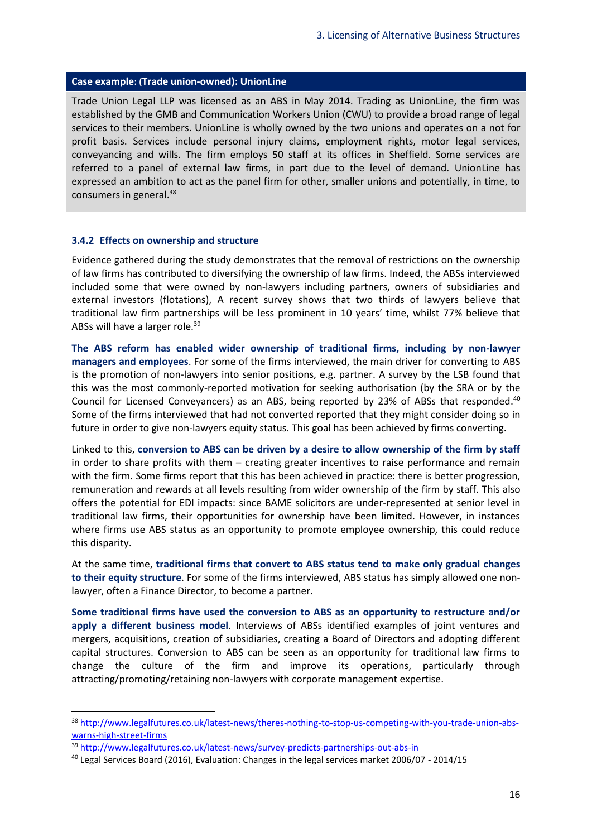#### **Case example: (Trade union-owned): UnionLine**

Trade Union Legal LLP was licensed as an ABS in May 2014. Trading as UnionLine, the firm was established by the GMB and Communication Workers Union (CWU) to provide a broad range of legal services to their members. UnionLine is wholly owned by the two unions and operates on a not for profit basis. Services include personal injury claims, employment rights, motor legal services, conveyancing and wills. The firm employs 50 staff at its offices in Sheffield. Some services are referred to a panel of external law firms, in part due to the level of demand. UnionLine has expressed an ambition to act as the panel firm for other, smaller unions and potentially, in time, to consumers in general.<sup>38</sup>

#### <span id="page-18-0"></span>**3.4.2 Effects on ownership and structure**

Evidence gathered during the study demonstrates that the removal of restrictions on the ownership of law firms has contributed to diversifying the ownership of law firms. Indeed, the ABSs interviewed included some that were owned by non-lawyers including partners, owners of subsidiaries and external investors (flotations), A recent survey shows that two thirds of lawyers believe that traditional law firm partnerships will be less prominent in 10 years' time, whilst 77% believe that ABSs will have a larger role.<sup>39</sup>

**The ABS reform has enabled wider ownership of traditional firms, including by non-lawyer managers and employees**. For some of the firms interviewed, the main driver for converting to ABS is the promotion of non-lawyers into senior positions, e.g. partner. A survey by the LSB found that this was the most commonly-reported motivation for seeking authorisation (by the SRA or by the Council for Licensed Conveyancers) as an ABS, being reported by 23% of ABSs that responded.<sup>40</sup> Some of the firms interviewed that had not converted reported that they might consider doing so in future in order to give non-lawyers equity status. This goal has been achieved by firms converting.

Linked to this, **conversion to ABS can be driven by a desire to allow ownership of the firm by staff** in order to share profits with them – creating greater incentives to raise performance and remain with the firm. Some firms report that this has been achieved in practice: there is better progression, remuneration and rewards at all levels resulting from wider ownership of the firm by staff. This also offers the potential for EDI impacts: since BAME solicitors are under-represented at senior level in traditional law firms, their opportunities for ownership have been limited. However, in instances where firms use ABS status as an opportunity to promote employee ownership, this could reduce this disparity.

At the same time, **traditional firms that convert to ABS status tend to make only gradual changes to their equity structure**. For some of the firms interviewed, ABS status has simply allowed one nonlawyer, often a Finance Director, to become a partner.

**Some traditional firms have used the conversion to ABS as an opportunity to restructure and/or apply a different business model**. Interviews of ABSs identified examples of joint ventures and mergers, acquisitions, creation of subsidiaries, creating a Board of Directors and adopting different capital structures. Conversion to ABS can be seen as an opportunity for traditional law firms to change the culture of the firm and improve its operations, particularly through attracting/promoting/retaining non-lawyers with corporate management expertise.

1

<sup>38</sup> [http://www.legalfutures.co.uk/latest-news/theres-nothing-to-stop-us-competing-with-you-trade-union-abs](http://www.legalfutures.co.uk/latest-news/theres-nothing-to-stop-us-competing-with-you-trade-union-abs-warns-high-street-firms)[warns-high-street-firms](http://www.legalfutures.co.uk/latest-news/theres-nothing-to-stop-us-competing-with-you-trade-union-abs-warns-high-street-firms)

<sup>39</sup> <http://www.legalfutures.co.uk/latest-news/survey-predicts-partnerships-out-abs-in>

<sup>40</sup> Legal Services Board (2016), Evaluation: Changes in the legal services market 2006/07 - 2014/15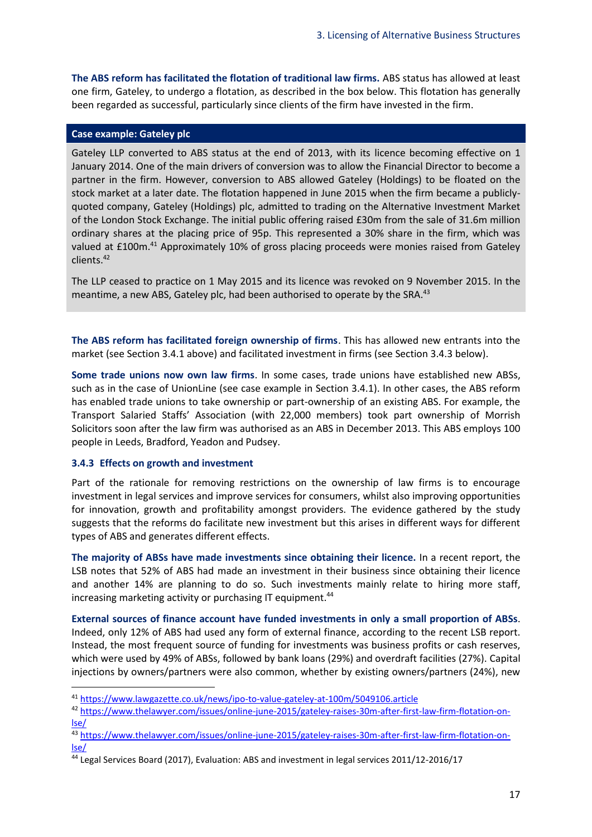**The ABS reform has facilitated the flotation of traditional law firms.** ABS status has allowed at least one firm, Gateley, to undergo a flotation, as described in the box below. This flotation has generally been regarded as successful, particularly since clients of the firm have invested in the firm.

#### **Case example: Gateley plc**

Gateley LLP converted to ABS status at the end of 2013, with its licence becoming effective on 1 January 2014. One of the main drivers of conversion was to allow the Financial Director to become a partner in the firm. However, conversion to ABS allowed Gateley (Holdings) to be floated on the stock market at a later date. The flotation happened in June 2015 when the firm became a publiclyquoted company, Gateley (Holdings) plc, admitted to trading on the Alternative Investment Market of the London Stock Exchange. The initial public offering raised £30m from the sale of 31.6m million ordinary shares at the placing price of 95p. This represented a 30% share in the firm, which was valued at £100m.<sup>41</sup> Approximately 10% of gross placing proceeds were monies raised from Gateley clients.<sup>42</sup>

The LLP ceased to practice on 1 May 2015 and its licence was revoked on 9 November 2015. In the meantime, a new ABS, Gateley plc, had been authorised to operate by the SRA.<sup>43</sup>

**The ABS reform has facilitated foreign ownership of firms**. This has allowed new entrants into the market (see Section [3.4.1](#page-15-1) above) and facilitated investment in firms (see Section [3.4.3](#page-19-0) below).

**Some trade unions now own law firms**. In some cases, trade unions have established new ABSs, such as in the case of UnionLine (see case example in Section [3.4.1\)](#page-15-1). In other cases, the ABS reform has enabled trade unions to take ownership or part-ownership of an existing ABS. For example, the Transport Salaried Staffs' Association (with 22,000 members) took part ownership of Morrish Solicitors soon after the law firm was authorised as an ABS in December 2013. This ABS employs 100 people in Leeds, Bradford, Yeadon and Pudsey.

#### <span id="page-19-0"></span>**3.4.3 Effects on growth and investment**

**.** 

Part of the rationale for removing restrictions on the ownership of law firms is to encourage investment in legal services and improve services for consumers, whilst also improving opportunities for innovation, growth and profitability amongst providers. The evidence gathered by the study suggests that the reforms do facilitate new investment but this arises in different ways for different types of ABS and generates different effects.

**The majority of ABSs have made investments since obtaining their licence.** In a recent report, the LSB notes that 52% of ABS had made an investment in their business since obtaining their licence and another 14% are planning to do so. Such investments mainly relate to hiring more staff, increasing marketing activity or purchasing IT equipment. 44

**External sources of finance account have funded investments in only a small proportion of ABSs**. Indeed, only 12% of ABS had used any form of external finance, according to the recent LSB report. Instead, the most frequent source of funding for investments was business profits or cash reserves, which were used by 49% of ABSs, followed by bank loans (29%) and overdraft facilities (27%). Capital injections by owners/partners were also common, whether by existing owners/partners (24%), new

<sup>41</sup> <https://www.lawgazette.co.uk/news/ipo-to-value-gateley-at-100m/5049106.article>

<sup>42</sup> [https://www.thelawyer.com/issues/online-june-2015/gateley-raises-30m-after-first-law-firm-flotation-on](https://www.thelawyer.com/issues/online-june-2015/gateley-raises-30m-after-first-law-firm-flotation-on-lse/)[lse/](https://www.thelawyer.com/issues/online-june-2015/gateley-raises-30m-after-first-law-firm-flotation-on-lse/)

<sup>43</sup> [https://www.thelawyer.com/issues/online-june-2015/gateley-raises-30m-after-first-law-firm-flotation-on](https://www.thelawyer.com/issues/online-june-2015/gateley-raises-30m-after-first-law-firm-flotation-on-lse/)[lse/](https://www.thelawyer.com/issues/online-june-2015/gateley-raises-30m-after-first-law-firm-flotation-on-lse/)

<sup>44</sup> Legal Services Board (2017), Evaluation: ABS and investment in legal services 2011/12-2016/17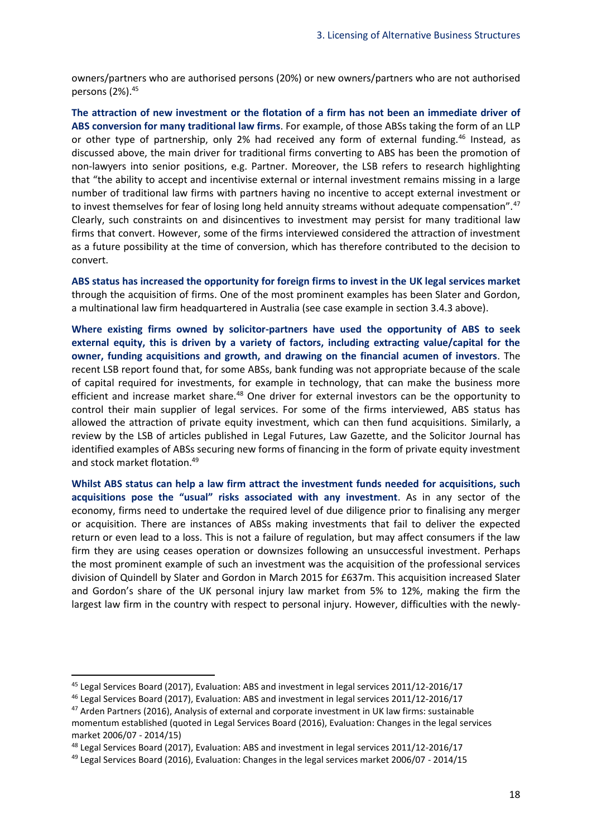owners/partners who are authorised persons (20%) or new owners/partners who are not authorised persons (2%).<sup>45</sup>

**The attraction of new investment or the flotation of a firm has not been an immediate driver of ABS conversion for many traditional law firms**. For example, of those ABSs taking the form of an LLP or other type of partnership, only 2% had received any form of external funding.<sup>46</sup> Instead, as discussed above, the main driver for traditional firms converting to ABS has been the promotion of non-lawyers into senior positions, e.g. Partner. Moreover, the LSB refers to research highlighting that "the ability to accept and incentivise external or internal investment remains missing in a large number of traditional law firms with partners having no incentive to accept external investment or to invest themselves for fear of losing long held annuity streams without adequate compensation".<sup>47</sup> Clearly, such constraints on and disincentives to investment may persist for many traditional law firms that convert. However, some of the firms interviewed considered the attraction of investment as a future possibility at the time of conversion, which has therefore contributed to the decision to convert.

**ABS status has increased the opportunity for foreign firms to invest in the UK legal services market** through the acquisition of firms. One of the most prominent examples has been Slater and Gordon, a multinational law firm headquartered in Australia (see case example in section 3.4.3 above).

**Where existing firms owned by solicitor-partners have used the opportunity of ABS to seek external equity, this is driven by a variety of factors, including extracting value/capital for the owner, funding acquisitions and growth, and drawing on the financial acumen of investors**. The recent LSB report found that, for some ABSs, bank funding was not appropriate because of the scale of capital required for investments, for example in technology, that can make the business more efficient and increase market share.<sup>48</sup> One driver for external investors can be the opportunity to control their main supplier of legal services. For some of the firms interviewed, ABS status has allowed the attraction of private equity investment, which can then fund acquisitions. Similarly, a review by the LSB of articles published in Legal Futures, Law Gazette, and the Solicitor Journal has identified examples of ABSs securing new forms of financing in the form of private equity investment and stock market flotation.<sup>49</sup>

**Whilst ABS status can help a law firm attract the investment funds needed for acquisitions, such acquisitions pose the "usual" risks associated with any investment**. As in any sector of the economy, firms need to undertake the required level of due diligence prior to finalising any merger or acquisition. There are instances of ABSs making investments that fail to deliver the expected return or even lead to a loss. This is not a failure of regulation, but may affect consumers if the law firm they are using ceases operation or downsizes following an unsuccessful investment. Perhaps the most prominent example of such an investment was the acquisition of the professional services division of Quindell by Slater and Gordon in March 2015 for £637m. This acquisition increased Slater and Gordon's share of the UK personal injury law market from 5% to 12%, making the firm the largest law firm in the country with respect to personal injury. However, difficulties with the newly-

<sup>45</sup> Legal Services Board (2017), Evaluation: ABS and investment in legal services 2011/12-2016/17

<sup>46</sup> Legal Services Board (2017), Evaluation: ABS and investment in legal services 2011/12-2016/17

<sup>&</sup>lt;sup>47</sup> Arden Partners (2016), Analysis of external and corporate investment in UK law firms: sustainable momentum established (quoted in Legal Services Board (2016), Evaluation: Changes in the legal services market 2006/07 - 2014/15)

<sup>48</sup> Legal Services Board (2017), Evaluation: ABS and investment in legal services 2011/12-2016/17

<sup>49</sup> Legal Services Board (2016), Evaluation: Changes in the legal services market 2006/07 - 2014/15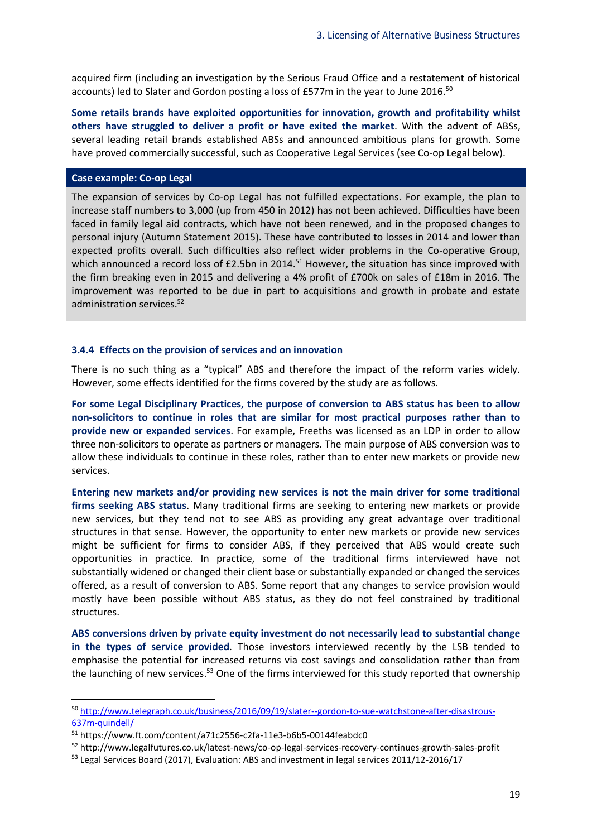acquired firm (including an investigation by the Serious Fraud Office and a restatement of historical accounts) led to Slater and Gordon posting a loss of £577m in the year to June 2016.<sup>50</sup>

**Some retails brands have exploited opportunities for innovation, growth and profitability whilst others have struggled to deliver a profit or have exited the market**. With the advent of ABSs, several leading retail brands established ABSs and announced ambitious plans for growth. Some have proved commercially successful, such as Cooperative Legal Services (see Co-op Legal below).

#### **Case example: Co-op Legal**

The expansion of services by Co-op Legal has not fulfilled expectations. For example, the plan to increase staff numbers to 3,000 (up from 450 in 2012) has not been achieved. Difficulties have been faced in family legal aid contracts, which have not been renewed, and in the proposed changes to personal injury (Autumn Statement 2015). These have contributed to losses in 2014 and lower than expected profits overall. Such difficulties also reflect wider problems in the Co-operative Group, which announced a record loss of £2.5bn in 2014.<sup>51</sup> However, the situation has since improved with the firm breaking even in 2015 and delivering a 4% profit of £700k on sales of £18m in 2016. The improvement was reported to be due in part to acquisitions and growth in probate and estate administration services.<sup>52</sup>

#### <span id="page-21-0"></span>**3.4.4 Effects on the provision of services and on innovation**

There is no such thing as a "typical" ABS and therefore the impact of the reform varies widely. However, some effects identified for the firms covered by the study are as follows.

**For some Legal Disciplinary Practices, the purpose of conversion to ABS status has been to allow non-solicitors to continue in roles that are similar for most practical purposes rather than to provide new or expanded services**. For example, Freeths was licensed as an LDP in order to allow three non-solicitors to operate as partners or managers. The main purpose of ABS conversion was to allow these individuals to continue in these roles, rather than to enter new markets or provide new services.

**Entering new markets and/or providing new services is not the main driver for some traditional firms seeking ABS status**. Many traditional firms are seeking to entering new markets or provide new services, but they tend not to see ABS as providing any great advantage over traditional structures in that sense. However, the opportunity to enter new markets or provide new services might be sufficient for firms to consider ABS, if they perceived that ABS would create such opportunities in practice. In practice, some of the traditional firms interviewed have not substantially widened or changed their client base or substantially expanded or changed the services offered, as a result of conversion to ABS. Some report that any changes to service provision would mostly have been possible without ABS status, as they do not feel constrained by traditional structures.

**ABS conversions driven by private equity investment do not necessarily lead to substantial change in the types of service provided**. Those investors interviewed recently by the LSB tended to emphasise the potential for increased returns via cost savings and consolidation rather than from the launching of new services.<sup>53</sup> One of the firms interviewed for this study reported that ownership

<sup>50</sup> [http://www.telegraph.co.uk/business/2016/09/19/slater--gordon-to-sue-watchstone-after-disastrous-](http://www.telegraph.co.uk/business/2016/09/19/slater--gordon-to-sue-watchstone-after-disastrous-637m-quindell/)[637m-quindell/](http://www.telegraph.co.uk/business/2016/09/19/slater--gordon-to-sue-watchstone-after-disastrous-637m-quindell/)

<sup>51</sup> https://www.ft.com/content/a71c2556-c2fa-11e3-b6b5-00144feabdc0

<sup>52</sup> http://www.legalfutures.co.uk/latest-news/co-op-legal-services-recovery-continues-growth-sales-profit

<sup>53</sup> Legal Services Board (2017), Evaluation: ABS and investment in legal services 2011/12-2016/17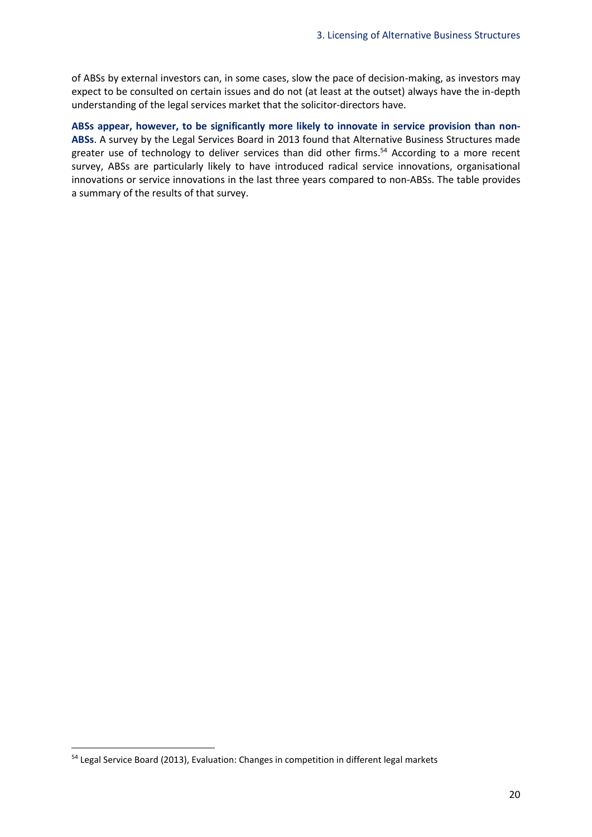of ABSs by external investors can, in some cases, slow the pace of decision-making, as investors may expect to be consulted on certain issues and do not (at least at the outset) always have the in-depth understanding of the legal services market that the solicitor-directors have.

<span id="page-22-0"></span>**ABSs appear, however, to be significantly more likely to innovate in service provision than non-ABSs**. A survey by the Legal Services Board in 2013 found that Alternative Business Structures made greater use of technology to deliver services than did other firms.<sup>54</sup> According to a more recent survey, ABSs are particularly likely to have introduced radical service innovations, organisational innovations or service innovations in the last three years compared to non-ABSs. The table provides a summary of the results of that survey.

<sup>&</sup>lt;sup>54</sup> Legal Service Board (2013), Evaluation: Changes in competition in different legal markets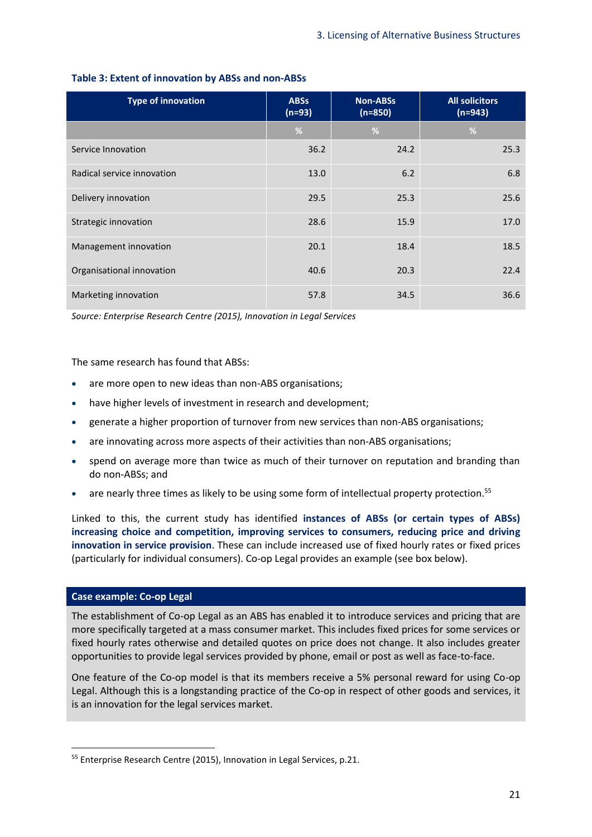| <b>Type of innovation</b>  | <b>ABSs</b><br>$(n=93)$ | <b>Non-ABSs</b><br>$(n=850)$ | <b>All solicitors</b><br>$(n=943)$ |
|----------------------------|-------------------------|------------------------------|------------------------------------|
|                            | %                       | %                            | %                                  |
| Service Innovation         | 36.2                    | 24.2                         | 25.3                               |
| Radical service innovation | 13.0                    | 6.2                          | 6.8                                |
| Delivery innovation        | 29.5                    | 25.3                         | 25.6                               |
| Strategic innovation       | 28.6                    | 15.9                         | 17.0                               |
| Management innovation      | 20.1                    | 18.4                         | 18.5                               |
| Organisational innovation  | 40.6                    | 20.3                         | 22.4                               |
| Marketing innovation       | 57.8                    | 34.5                         | 36.6                               |

#### **Table 3: Extent of innovation by ABSs and non-ABSs**

*Source: Enterprise Research Centre (2015), Innovation in Legal Services*

The same research has found that ABSs:

- are more open to new ideas than non-ABS organisations;
- have higher levels of investment in research and development;
- generate a higher proportion of turnover from new services than non-ABS organisations;
- are innovating across more aspects of their activities than non-ABS organisations;
- spend on average more than twice as much of their turnover on reputation and branding than do non-ABSs; and
- are nearly three times as likely to be using some form of intellectual property protection.<sup>55</sup>

Linked to this, the current study has identified **instances of ABSs (or certain types of ABSs) increasing choice and competition, improving services to consumers, reducing price and driving innovation in service provision**. These can include increased use of fixed hourly rates or fixed prices (particularly for individual consumers). Co-op Legal provides an example (see box below).

#### **Case example: Co-op Legal**

**.** 

The establishment of Co-op Legal as an ABS has enabled it to introduce services and pricing that are more specifically targeted at a mass consumer market. This includes fixed prices for some services or fixed hourly rates otherwise and detailed quotes on price does not change. It also includes greater opportunities to provide legal services provided by phone, email or post as well as face-to-face.

One feature of the Co-op model is that its members receive a 5% personal reward for using Co-op Legal. Although this is a longstanding practice of the Co-op in respect of other goods and services, it is an innovation for the legal services market.

<sup>55</sup> Enterprise Research Centre (2015), Innovation in Legal Services, p.21.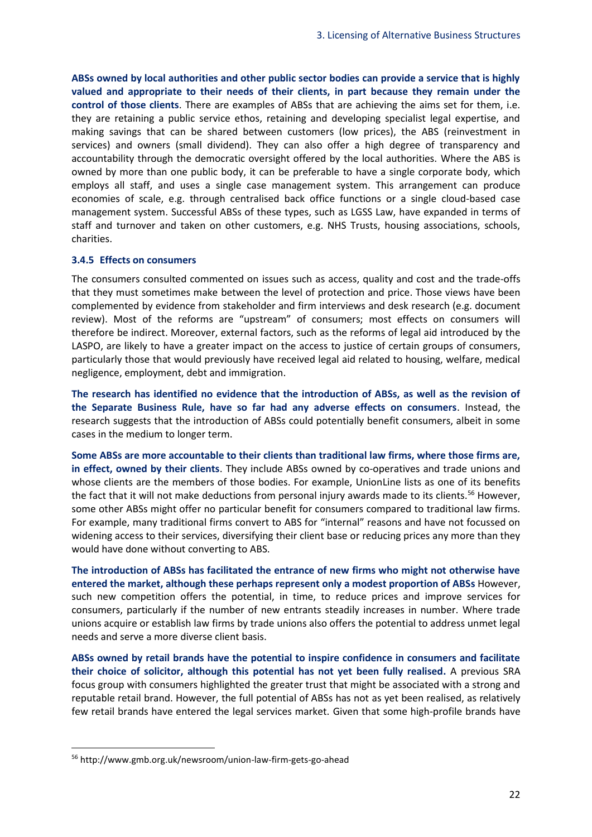**ABSs owned by local authorities and other public sector bodies can provide a service that is highly valued and appropriate to their needs of their clients, in part because they remain under the control of those clients**. There are examples of ABSs that are achieving the aims set for them, i.e. they are retaining a public service ethos, retaining and developing specialist legal expertise, and making savings that can be shared between customers (low prices), the ABS (reinvestment in services) and owners (small dividend). They can also offer a high degree of transparency and accountability through the democratic oversight offered by the local authorities. Where the ABS is owned by more than one public body, it can be preferable to have a single corporate body, which employs all staff, and uses a single case management system. This arrangement can produce economies of scale, e.g. through centralised back office functions or a single cloud-based case management system. Successful ABSs of these types, such as LGSS Law, have expanded in terms of staff and turnover and taken on other customers, e.g. NHS Trusts, housing associations, schools, charities.

#### **3.4.5 Effects on consumers**

The consumers consulted commented on issues such as access, quality and cost and the trade-offs that they must sometimes make between the level of protection and price. Those views have been complemented by evidence from stakeholder and firm interviews and desk research (e.g. document review). Most of the reforms are "upstream" of consumers; most effects on consumers will therefore be indirect. Moreover, external factors, such as the reforms of legal aid introduced by the LASPO, are likely to have a greater impact on the access to justice of certain groups of consumers, particularly those that would previously have received legal aid related to housing, welfare, medical negligence, employment, debt and immigration.

**The research has identified no evidence that the introduction of ABSs, as well as the revision of the Separate Business Rule, have so far had any adverse effects on consumers**. Instead, the research suggests that the introduction of ABSs could potentially benefit consumers, albeit in some cases in the medium to longer term.

**Some ABSs are more accountable to their clients than traditional law firms, where those firms are, in effect, owned by their clients**. They include ABSs owned by co-operatives and trade unions and whose clients are the members of those bodies. For example, UnionLine lists as one of its benefits the fact that it will not make deductions from personal injury awards made to its clients.<sup>56</sup> However, some other ABSs might offer no particular benefit for consumers compared to traditional law firms. For example, many traditional firms convert to ABS for "internal" reasons and have not focussed on widening access to their services, diversifying their client base or reducing prices any more than they would have done without converting to ABS.

**The introduction of ABSs has facilitated the entrance of new firms who might not otherwise have entered the market, although these perhaps represent only a modest proportion of ABSs** However, such new competition offers the potential, in time, to reduce prices and improve services for consumers, particularly if the number of new entrants steadily increases in number. Where trade unions acquire or establish law firms by trade unions also offers the potential to address unmet legal needs and serve a more diverse client basis.

**ABSs owned by retail brands have the potential to inspire confidence in consumers and facilitate their choice of solicitor, although this potential has not yet been fully realised.** A previous SRA focus group with consumers highlighted the greater trust that might be associated with a strong and reputable retail brand. However, the full potential of ABSs has not as yet been realised, as relatively few retail brands have entered the legal services market. Given that some high-profile brands have

<sup>56</sup> http://www.gmb.org.uk/newsroom/union-law-firm-gets-go-ahead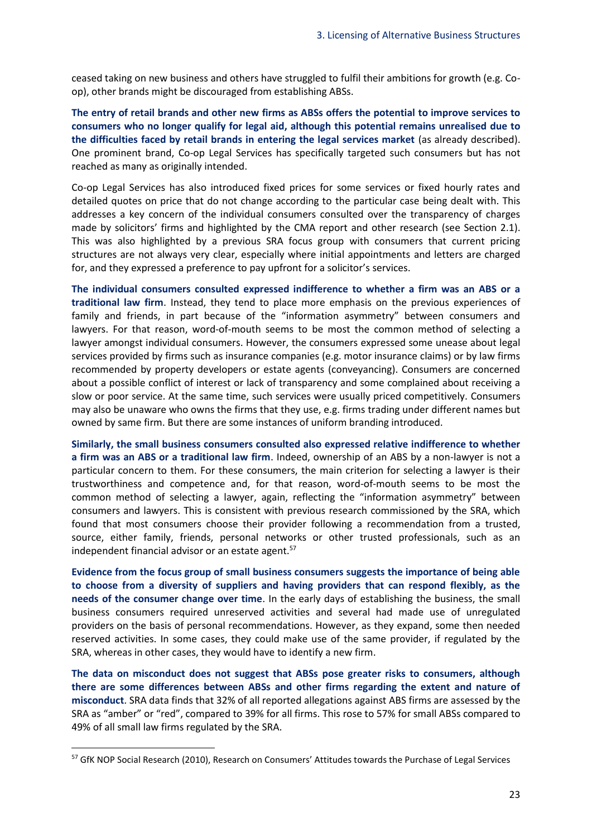ceased taking on new business and others have struggled to fulfil their ambitions for growth (e.g. Coop), other brands might be discouraged from establishing ABSs.

**The entry of retail brands and other new firms as ABSs offers the potential to improve services to consumers who no longer qualify for legal aid, although this potential remains unrealised due to the difficulties faced by retail brands in entering the legal services market** (as already described). One prominent brand, Co-op Legal Services has specifically targeted such consumers but has not reached as many as originally intended.

Co-op Legal Services has also introduced fixed prices for some services or fixed hourly rates and detailed quotes on price that do not change according to the particular case being dealt with. This addresses a key concern of the individual consumers consulted over the transparency of charges made by solicitors' firms and highlighted by the CMA report and other research (see Section [2.1\)](#page-7-1). This was also highlighted by a previous SRA focus group with consumers that current pricing structures are not always very clear, especially where initial appointments and letters are charged for, and they expressed a preference to pay upfront for a solicitor's services.

**The individual consumers consulted expressed indifference to whether a firm was an ABS or a traditional law firm**. Instead, they tend to place more emphasis on the previous experiences of family and friends, in part because of the "information asymmetry" between consumers and lawyers. For that reason, word-of-mouth seems to be most the common method of selecting a lawyer amongst individual consumers. However, the consumers expressed some unease about legal services provided by firms such as insurance companies (e.g. motor insurance claims) or by law firms recommended by property developers or estate agents (conveyancing). Consumers are concerned about a possible conflict of interest or lack of transparency and some complained about receiving a slow or poor service. At the same time, such services were usually priced competitively. Consumers may also be unaware who owns the firms that they use, e.g. firms trading under different names but owned by same firm. But there are some instances of uniform branding introduced.

**Similarly, the small business consumers consulted also expressed relative indifference to whether a firm was an ABS or a traditional law firm**. Indeed, ownership of an ABS by a non-lawyer is not a particular concern to them. For these consumers, the main criterion for selecting a lawyer is their trustworthiness and competence and, for that reason, word-of-mouth seems to be most the common method of selecting a lawyer, again, reflecting the "information asymmetry" between consumers and lawyers. This is consistent with previous research commissioned by the SRA, which found that most consumers choose their provider following a recommendation from a trusted, source, either family, friends, personal networks or other trusted professionals, such as an independent financial advisor or an estate agent.<sup>57</sup>

**Evidence from the focus group of small business consumers suggests the importance of being able to choose from a diversity of suppliers and having providers that can respond flexibly, as the needs of the consumer change over time**. In the early days of establishing the business, the small business consumers required unreserved activities and several had made use of unregulated providers on the basis of personal recommendations. However, as they expand, some then needed reserved activities. In some cases, they could make use of the same provider, if regulated by the SRA, whereas in other cases, they would have to identify a new firm.

**The data on misconduct does not suggest that ABSs pose greater risks to consumers, although there are some differences between ABSs and other firms regarding the extent and nature of misconduct**. SRA data finds that 32% of all reported allegations against ABS firms are assessed by the SRA as "amber" or "red", compared to 39% for all firms. This rose to 57% for small ABSs compared to 49% of all small law firms regulated by the SRA.

<sup>&</sup>lt;sup>57</sup> GfK NOP Social Research (2010), Research on Consumers' Attitudes towards the Purchase of Legal Services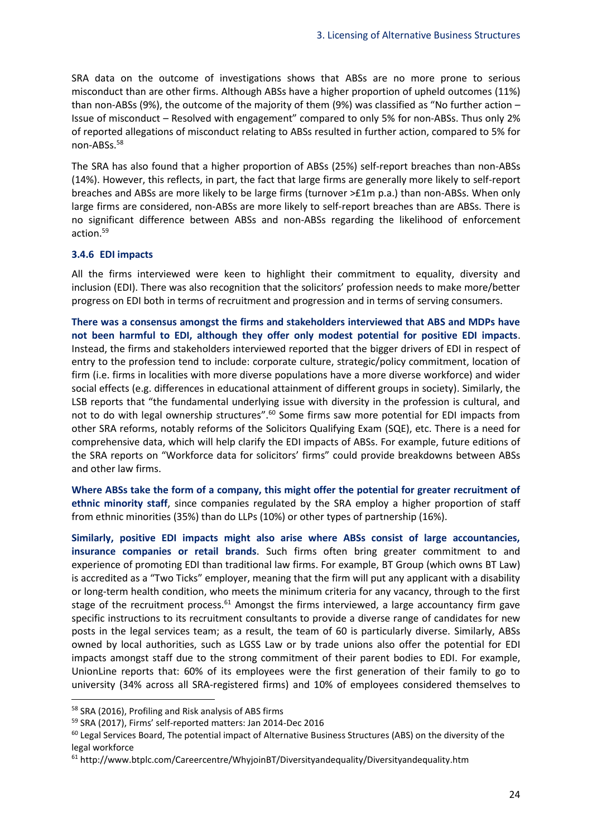SRA data on the outcome of investigations shows that ABSs are no more prone to serious misconduct than are other firms. Although ABSs have a higher proportion of upheld outcomes (11%) than non-ABSs (9%), the outcome of the majority of them (9%) was classified as "No further action – Issue of misconduct – Resolved with engagement" compared to only 5% for non-ABSs. Thus only 2% of reported allegations of misconduct relating to ABSs resulted in further action, compared to 5% for non-ABSs. 58

The SRA has also found that a higher proportion of ABSs (25%) self-report breaches than non-ABSs (14%). However, this reflects, in part, the fact that large firms are generally more likely to self-report breaches and ABSs are more likely to be large firms (turnover >£1m p.a.) than non-ABSs. When only large firms are considered, non-ABSs are more likely to self-report breaches than are ABSs. There is no significant difference between ABSs and non-ABSs regarding the likelihood of enforcement action. 59

#### **3.4.6 EDI impacts**

All the firms interviewed were keen to highlight their commitment to equality, diversity and inclusion (EDI). There was also recognition that the solicitors' profession needs to make more/better progress on EDI both in terms of recruitment and progression and in terms of serving consumers.

**There was a consensus amongst the firms and stakeholders interviewed that ABS and MDPs have not been harmful to EDI, although they offer only modest potential for positive EDI impacts**. Instead, the firms and stakeholders interviewed reported that the bigger drivers of EDI in respect of entry to the profession tend to include: corporate culture, strategic/policy commitment, location of firm (i.e. firms in localities with more diverse populations have a more diverse workforce) and wider social effects (e.g. differences in educational attainment of different groups in society). Similarly, the LSB reports that "the fundamental underlying issue with diversity in the profession is cultural, and not to do with legal ownership structures".<sup>60</sup> Some firms saw more potential for EDI impacts from other SRA reforms, notably reforms of the Solicitors Qualifying Exam (SQE), etc. There is a need for comprehensive data, which will help clarify the EDI impacts of ABSs. For example, future editions of the SRA reports on "Workforce data for solicitors' firms" could provide breakdowns between ABSs and other law firms.

**Where ABSs take the form of a company, this might offer the potential for greater recruitment of ethnic minority staff**, since companies regulated by the SRA employ a higher proportion of staff from ethnic minorities (35%) than do LLPs (10%) or other types of partnership (16%).

**Similarly, positive EDI impacts might also arise where ABSs consist of large accountancies, insurance companies or retail brands**. Such firms often bring greater commitment to and experience of promoting EDI than traditional law firms. For example, BT Group (which owns BT Law) is accredited as a "Two Ticks" employer, meaning that the firm will put any applicant with a disability or long-term health condition, who meets the minimum criteria for any vacancy, through to the first stage of the recruitment process. $61$  Amongst the firms interviewed, a large accountancy firm gave specific instructions to its recruitment consultants to provide a diverse range of candidates for new posts in the legal services team; as a result, the team of 60 is particularly diverse. Similarly, ABSs owned by local authorities, such as LGSS Law or by trade unions also offer the potential for EDI impacts amongst staff due to the strong commitment of their parent bodies to EDI. For example, UnionLine reports that: 60% of its employees were the first generation of their family to go to university (34% across all SRA-registered firms) and 10% of employees considered themselves to

<sup>58</sup> SRA (2016), Profiling and Risk analysis of ABS firms

<sup>59</sup> SRA (2017), Firms' self-reported matters: Jan 2014-Dec 2016

<sup>&</sup>lt;sup>60</sup> Legal Services Board, The potential impact of Alternative Business Structures (ABS) on the diversity of the legal workforce

<sup>61</sup> http://www.btplc.com/Careercentre/WhyjoinBT/Diversityandequality/Diversityandequality.htm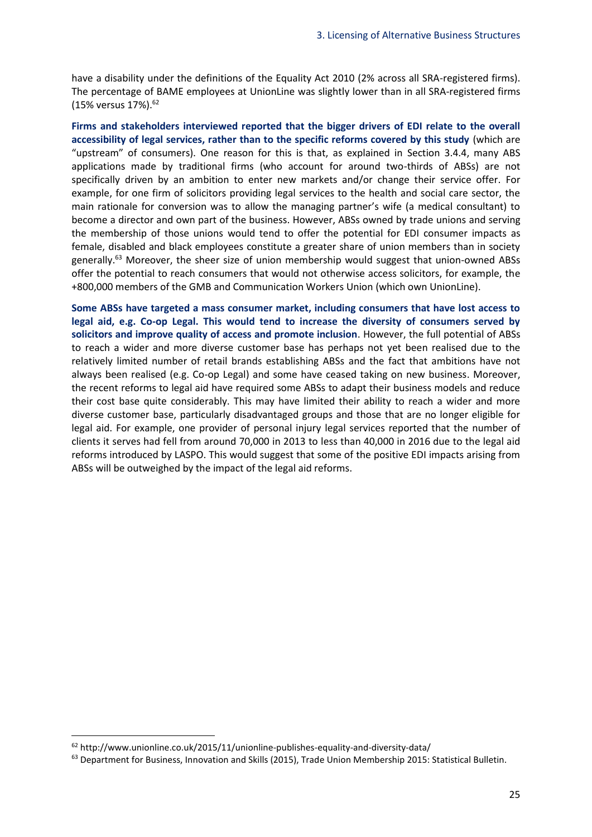have a disability under the definitions of the Equality Act 2010 (2% across all SRA-registered firms). The percentage of BAME employees at UnionLine was slightly lower than in all SRA-registered firms (15% versus 17%).<sup>62</sup>

**Firms and stakeholders interviewed reported that the bigger drivers of EDI relate to the overall accessibility of legal services, rather than to the specific reforms covered by this study** (which are "upstream" of consumers). One reason for this is that, as explained in Section [3.4.4,](#page-21-0) many ABS applications made by traditional firms (who account for around two-thirds of ABSs) are not specifically driven by an ambition to enter new markets and/or change their service offer. For example, for one firm of solicitors providing legal services to the health and social care sector, the main rationale for conversion was to allow the managing partner's wife (a medical consultant) to become a director and own part of the business. However, ABSs owned by trade unions and serving the membership of those unions would tend to offer the potential for EDI consumer impacts as female, disabled and black employees constitute a greater share of union members than in society generally.<sup>63</sup> Moreover, the sheer size of union membership would suggest that union-owned ABSs offer the potential to reach consumers that would not otherwise access solicitors, for example, the +800,000 members of the GMB and Communication Workers Union (which own UnionLine).

**Some ABSs have targeted a mass consumer market, including consumers that have lost access to legal aid, e.g. Co-op Legal. This would tend to increase the diversity of consumers served by solicitors and improve quality of access and promote inclusion**. However, the full potential of ABSs to reach a wider and more diverse customer base has perhaps not yet been realised due to the relatively limited number of retail brands establishing ABSs and the fact that ambitions have not always been realised (e.g. Co-op Legal) and some have ceased taking on new business. Moreover, the recent reforms to legal aid have required some ABSs to adapt their business models and reduce their cost base quite considerably. This may have limited their ability to reach a wider and more diverse customer base, particularly disadvantaged groups and those that are no longer eligible for legal aid. For example, one provider of personal injury legal services reported that the number of clients it serves had fell from around 70,000 in 2013 to less than 40,000 in 2016 due to the legal aid reforms introduced by LASPO. This would suggest that some of the positive EDI impacts arising from ABSs will be outweighed by the impact of the legal aid reforms.

1

 $62$  http://www.unionline.co.uk/2015/11/unionline-publishes-equality-and-diversity-data/

<sup>63</sup> Department for Business, Innovation and Skills (2015), Trade Union Membership 2015: Statistical Bulletin.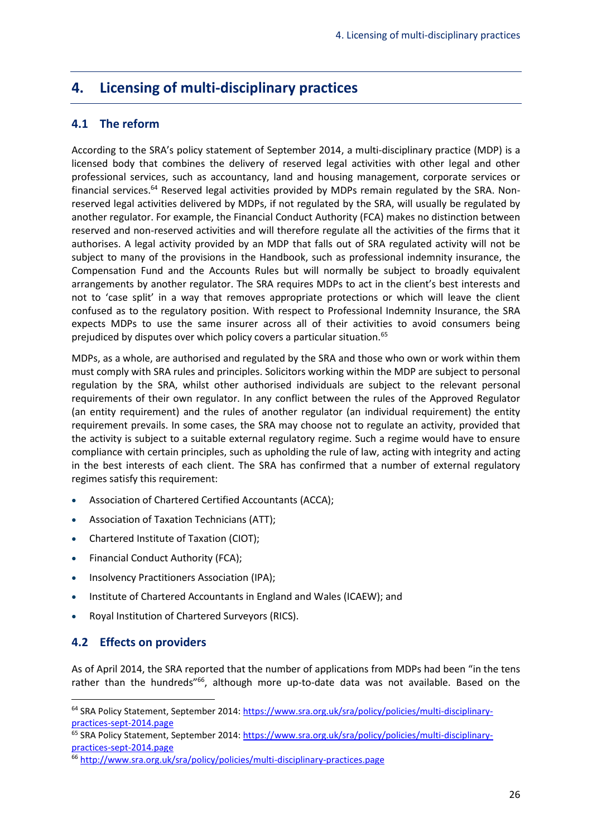# <span id="page-28-0"></span>**4. Licensing of multi-disciplinary practices**

# <span id="page-28-1"></span>**4.1 The reform**

According to the SRA's policy statement of September 2014, a multi-disciplinary practice (MDP) is a licensed body that combines the delivery of reserved legal activities with other legal and other professional services, such as accountancy, land and housing management, corporate services or financial services.<sup>64</sup> Reserved legal activities provided by MDPs remain regulated by the SRA. Nonreserved legal activities delivered by MDPs, if not regulated by the SRA, will usually be regulated by another regulator. For example, the Financial Conduct Authority (FCA) makes no distinction between reserved and non-reserved activities and will therefore regulate all the activities of the firms that it authorises. A legal activity provided by an MDP that falls out of SRA regulated activity will not be subject to many of the provisions in the Handbook, such as professional indemnity insurance, the Compensation Fund and the Accounts Rules but will normally be subject to broadly equivalent arrangements by another regulator. The SRA requires MDPs to act in the client's best interests and not to 'case split' in a way that removes appropriate protections or which will leave the client confused as to the regulatory position. With respect to Professional Indemnity Insurance, the SRA expects MDPs to use the same insurer across all of their activities to avoid consumers being prejudiced by disputes over which policy covers a particular situation.<sup>65</sup>

MDPs, as a whole, are authorised and regulated by the SRA and those who own or work within them must comply with SRA rules and principles. Solicitors working within the MDP are subject to personal regulation by the SRA, whilst other authorised individuals are subject to the relevant personal requirements of their own regulator. In any conflict between the rules of the Approved Regulator (an entity requirement) and the rules of another regulator (an individual requirement) the entity requirement prevails. In some cases, the SRA may choose not to regulate an activity, provided that the activity is subject to a suitable external regulatory regime. Such a regime would have to ensure compliance with certain principles, such as upholding the rule of law, acting with integrity and acting in the best interests of each client. The SRA has confirmed that a number of external regulatory regimes satisfy this requirement:

- Association of Chartered Certified Accountants (ACCA);
- Association of Taxation Technicians (ATT);
- Chartered Institute of Taxation (CIOT);
- Financial Conduct Authority (FCA);
- Insolvency Practitioners Association (IPA);
- Institute of Chartered Accountants in England and Wales (ICAEW); and
- Royal Institution of Chartered Surveyors (RICS).

# <span id="page-28-2"></span>**4.2 Effects on providers**

**.** 

As of April 2014, the SRA reported that the number of applications from MDPs had been "in the tens rather than the hundreds"<sup>66</sup>, although more up-to-date data was not available. Based on the

<sup>64</sup> SRA Policy Statement, September 2014[: https://www.sra.org.uk/sra/policy/policies/multi-disciplinary](https://www.sra.org.uk/sra/policy/policies/multi-disciplinary-practices-sept-2014.page)[practices-sept-2014.page](https://www.sra.org.uk/sra/policy/policies/multi-disciplinary-practices-sept-2014.page)

<sup>&</sup>lt;sup>65</sup> SRA Policy Statement, September 2014[: https://www.sra.org.uk/sra/policy/policies/multi-disciplinary](https://www.sra.org.uk/sra/policy/policies/multi-disciplinary-practices-sept-2014.page)[practices-sept-2014.page](https://www.sra.org.uk/sra/policy/policies/multi-disciplinary-practices-sept-2014.page)

<sup>66</sup> <http://www.sra.org.uk/sra/policy/policies/multi-disciplinary-practices.page>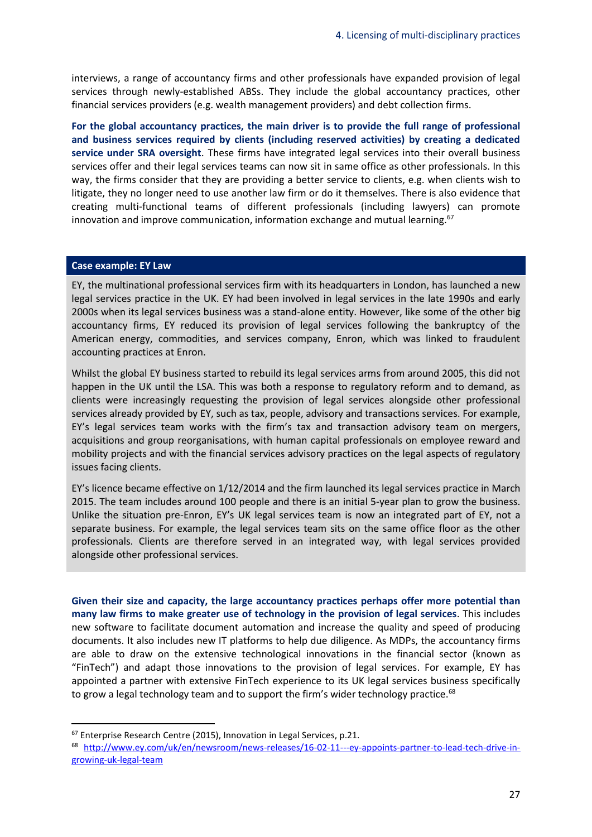interviews, a range of accountancy firms and other professionals have expanded provision of legal services through newly-established ABSs. They include the global accountancy practices, other financial services providers (e.g. wealth management providers) and debt collection firms.

**For the global accountancy practices, the main driver is to provide the full range of professional and business services required by clients (including reserved activities) by creating a dedicated service under SRA oversight**. These firms have integrated legal services into their overall business services offer and their legal services teams can now sit in same office as other professionals. In this way, the firms consider that they are providing a better service to clients, e.g. when clients wish to litigate, they no longer need to use another law firm or do it themselves. There is also evidence that creating multi-functional teams of different professionals (including lawyers) can promote innovation and improve communication, information exchange and mutual learning. $67$ 

#### **Case example: EY Law**

**.** 

EY, the multinational professional services firm with its headquarters in London, has launched a new legal services practice in the UK. EY had been involved in legal services in the late 1990s and early 2000s when its legal services business was a stand-alone entity. However, like some of the other big accountancy firms, EY reduced its provision of legal services following the bankruptcy of the American energy, commodities, and services company, Enron, which was linked to fraudulent accounting practices at Enron.

Whilst the global EY business started to rebuild its legal services arms from around 2005, this did not happen in the UK until the LSA. This was both a response to regulatory reform and to demand, as clients were increasingly requesting the provision of legal services alongside other professional services already provided by EY, such as tax, people, advisory and transactions services. For example, EY's legal services team works with the firm's tax and transaction advisory team on mergers, acquisitions and group reorganisations, with human capital professionals on employee reward and mobility projects and with the financial services advisory practices on the legal aspects of regulatory issues facing clients.

EY's licence became effective on 1/12/2014 and the firm launched its legal services practice in March 2015. The team includes around 100 people and there is an initial 5-year plan to grow the business. Unlike the situation pre-Enron, EY's UK legal services team is now an integrated part of EY, not a separate business. For example, the legal services team sits on the same office floor as the other professionals. Clients are therefore served in an integrated way, with legal services provided alongside other professional services.

**Given their size and capacity, the large accountancy practices perhaps offer more potential than many law firms to make greater use of technology in the provision of legal services**. This includes new software to facilitate document automation and increase the quality and speed of producing documents. It also includes new IT platforms to help due diligence. As MDPs, the accountancy firms are able to draw on the extensive technological innovations in the financial sector (known as "FinTech") and adapt those innovations to the provision of legal services. For example, EY has appointed a partner with extensive FinTech experience to its UK legal services business specifically to grow a legal technology team and to support the firm's wider technology practice. $68$ 

 $67$  Enterprise Research Centre (2015), Innovation in Legal Services, p.21.

<sup>68</sup> [http://www.ey.com/uk/en/newsroom/news-releases/16-02-11---ey-appoints-partner-to-lead-tech-drive-in](http://www.ey.com/uk/en/newsroom/news-releases/16-02-11---ey-appoints-partner-to-lead-tech-drive-in-growing-uk-legal-team)[growing-uk-legal-team](http://www.ey.com/uk/en/newsroom/news-releases/16-02-11---ey-appoints-partner-to-lead-tech-drive-in-growing-uk-legal-team)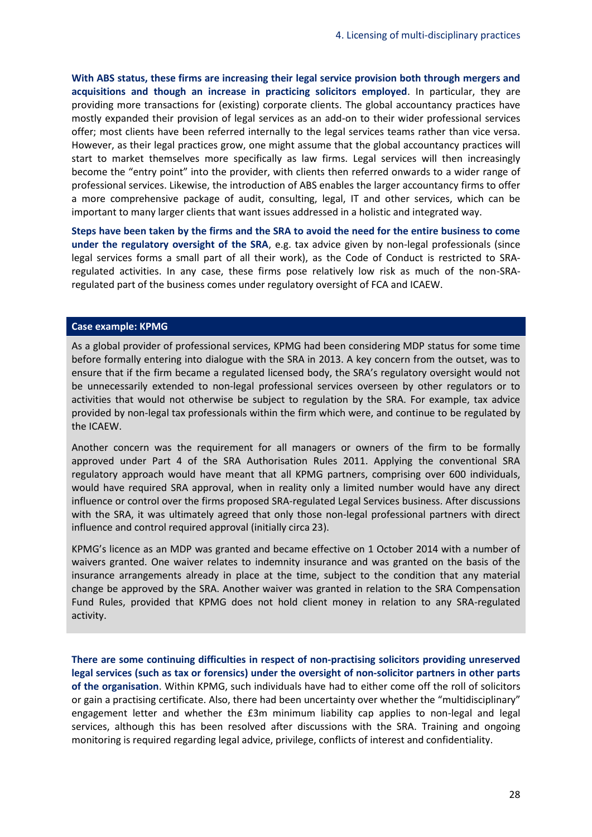**With ABS status, these firms are increasing their legal service provision both through mergers and acquisitions and though an increase in practicing solicitors employed**. In particular, they are providing more transactions for (existing) corporate clients. The global accountancy practices have mostly expanded their provision of legal services as an add-on to their wider professional services offer; most clients have been referred internally to the legal services teams rather than vice versa. However, as their legal practices grow, one might assume that the global accountancy practices will start to market themselves more specifically as law firms. Legal services will then increasingly become the "entry point" into the provider, with clients then referred onwards to a wider range of professional services. Likewise, the introduction of ABS enables the larger accountancy firms to offer a more comprehensive package of audit, consulting, legal, IT and other services, which can be important to many larger clients that want issues addressed in a holistic and integrated way.

**Steps have been taken by the firms and the SRA to avoid the need for the entire business to come under the regulatory oversight of the SRA**, e.g. tax advice given by non-legal professionals (since legal services forms a small part of all their work), as the Code of Conduct is restricted to SRAregulated activities. In any case, these firms pose relatively low risk as much of the non-SRAregulated part of the business comes under regulatory oversight of FCA and ICAEW.

#### **Case example: KPMG**

As a global provider of professional services, KPMG had been considering MDP status for some time before formally entering into dialogue with the SRA in 2013. A key concern from the outset, was to ensure that if the firm became a regulated licensed body, the SRA's regulatory oversight would not be unnecessarily extended to non-legal professional services overseen by other regulators or to activities that would not otherwise be subject to regulation by the SRA. For example, tax advice provided by non-legal tax professionals within the firm which were, and continue to be regulated by the ICAEW.

Another concern was the requirement for all managers or owners of the firm to be formally approved under Part 4 of the SRA Authorisation Rules 2011. Applying the conventional SRA regulatory approach would have meant that all KPMG partners, comprising over 600 individuals, would have required SRA approval, when in reality only a limited number would have any direct influence or control over the firms proposed SRA-regulated Legal Services business. After discussions with the SRA, it was ultimately agreed that only those non-legal professional partners with direct influence and control required approval (initially circa 23).

KPMG's licence as an MDP was granted and became effective on 1 October 2014 with a number of waivers granted. One waiver relates to indemnity insurance and was granted on the basis of the insurance arrangements already in place at the time, subject to the condition that any material change be approved by the SRA. Another waiver was granted in relation to the SRA Compensation Fund Rules, provided that KPMG does not hold client money in relation to any SRA-regulated activity.

**There are some continuing difficulties in respect of non-practising solicitors providing unreserved legal services (such as tax or forensics) under the oversight of non-solicitor partners in other parts of the organisation**. Within KPMG, such individuals have had to either come off the roll of solicitors or gain a practising certificate. Also, there had been uncertainty over whether the "multidisciplinary" engagement letter and whether the £3m minimum liability cap applies to non-legal and legal services, although this has been resolved after discussions with the SRA. Training and ongoing monitoring is required regarding legal advice, privilege, conflicts of interest and confidentiality.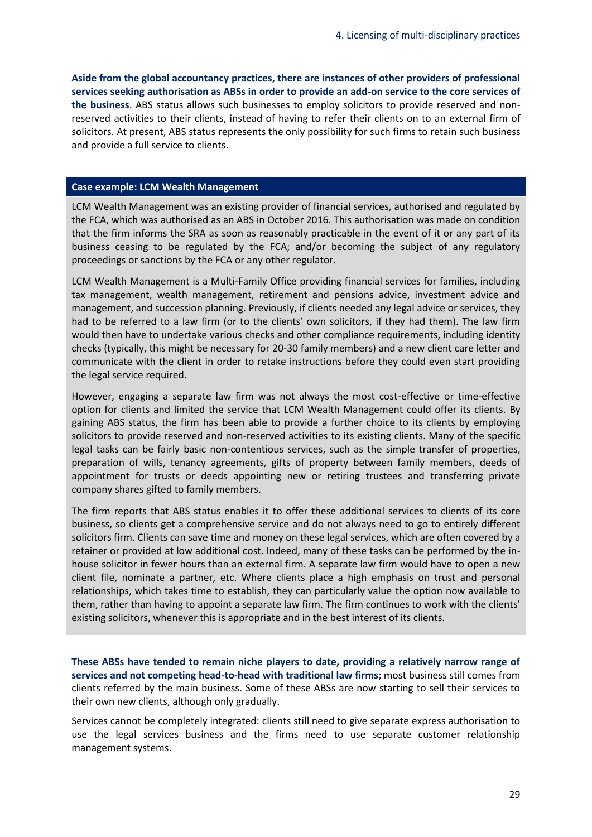**Aside from the global accountancy practices, there are instances of other providers of professional services seeking authorisation as ABSs in order to provide an add-on service to the core services of the business**. ABS status allows such businesses to employ solicitors to provide reserved and nonreserved activities to their clients, instead of having to refer their clients on to an external firm of solicitors. At present, ABS status represents the only possibility for such firms to retain such business and provide a full service to clients.

#### **Case example: LCM Wealth Management**

LCM Wealth Management was an existing provider of financial services, authorised and regulated by the FCA, which was authorised as an ABS in October 2016. This authorisation was made on condition that the firm informs the SRA as soon as reasonably practicable in the event of it or any part of its business ceasing to be regulated by the FCA; and/or becoming the subject of any regulatory proceedings or sanctions by the FCA or any other regulator.

LCM Wealth Management is a Multi-Family Office providing financial services for families, including tax management, wealth management, retirement and pensions advice, investment advice and management, and succession planning. Previously, if clients needed any legal advice or services, they had to be referred to a law firm (or to the clients' own solicitors, if they had them). The law firm would then have to undertake various checks and other compliance requirements, including identity checks (typically, this might be necessary for 20-30 family members) and a new client care letter and communicate with the client in order to retake instructions before they could even start providing the legal service required.

However, engaging a separate law firm was not always the most cost-effective or time-effective option for clients and limited the service that LCM Wealth Management could offer its clients. By gaining ABS status, the firm has been able to provide a further choice to its clients by employing solicitors to provide reserved and non-reserved activities to its existing clients. Many of the specific legal tasks can be fairly basic non-contentious services, such as the simple transfer of properties, preparation of wills, tenancy agreements, gifts of property between family members, deeds of appointment for trusts or deeds appointing new or retiring trustees and transferring private company shares gifted to family members.

The firm reports that ABS status enables it to offer these additional services to clients of its core business, so clients get a comprehensive service and do not always need to go to entirely different solicitors firm. Clients can save time and money on these legal services, which are often covered by a retainer or provided at low additional cost. Indeed, many of these tasks can be performed by the inhouse solicitor in fewer hours than an external firm. A separate law firm would have to open a new client file, nominate a partner, etc. Where clients place a high emphasis on trust and personal relationships, which takes time to establish, they can particularly value the option now available to them, rather than having to appoint a separate law firm. The firm continues to work with the clients' existing solicitors, whenever this is appropriate and in the best interest of its clients.

**These ABSs have tended to remain niche players to date, providing a relatively narrow range of services and not competing head-to-head with traditional law firms**; most business still comes from clients referred by the main business. Some of these ABSs are now starting to sell their services to their own new clients, although only gradually.

Services cannot be completely integrated: clients still need to give separate express authorisation to use the legal services business and the firms need to use separate customer relationship management systems.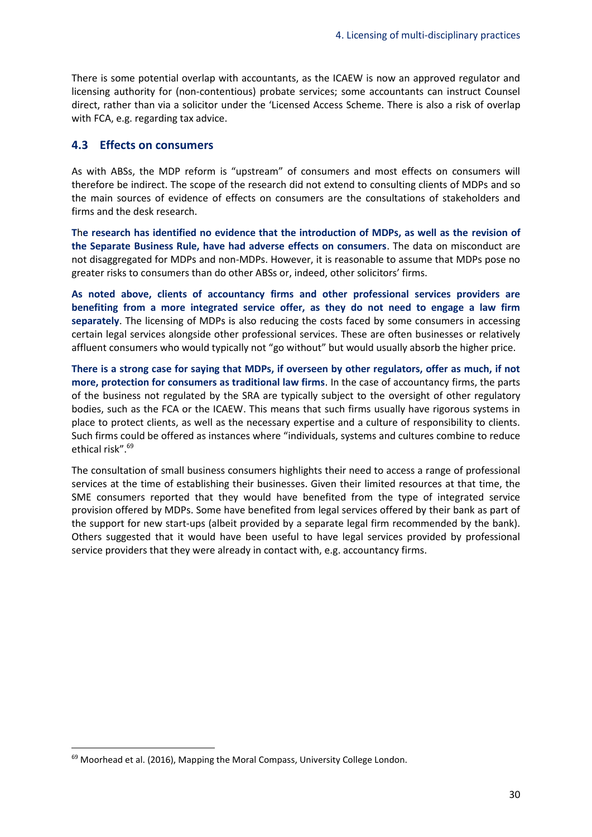There is some potential overlap with accountants, as the ICAEW is now an approved regulator and licensing authority for (non-contentious) probate services; some accountants can instruct Counsel direct, rather than via a solicitor under the 'Licensed Access Scheme. There is also a risk of overlap with FCA, e.g. regarding tax advice.

#### <span id="page-32-0"></span>**4.3 Effects on consumers**

As with ABSs, the MDP reform is "upstream" of consumers and most effects on consumers will therefore be indirect. The scope of the research did not extend to consulting clients of MDPs and so the main sources of evidence of effects on consumers are the consultations of stakeholders and firms and the desk research.

**T**h**e research has identified no evidence that the introduction of MDPs, as well as the revision of the Separate Business Rule, have had adverse effects on consumers**. The data on misconduct are not disaggregated for MDPs and non-MDPs. However, it is reasonable to assume that MDPs pose no greater risks to consumers than do other ABSs or, indeed, other solicitors' firms.

**As noted above, clients of accountancy firms and other professional services providers are benefiting from a more integrated service offer, as they do not need to engage a law firm separately**. The licensing of MDPs is also reducing the costs faced by some consumers in accessing certain legal services alongside other professional services. These are often businesses or relatively affluent consumers who would typically not "go without" but would usually absorb the higher price.

**There is a strong case for saying that MDPs, if overseen by other regulators, offer as much, if not more, protection for consumers as traditional law firms**. In the case of accountancy firms, the parts of the business not regulated by the SRA are typically subject to the oversight of other regulatory bodies, such as the FCA or the ICAEW. This means that such firms usually have rigorous systems in place to protect clients, as well as the necessary expertise and a culture of responsibility to clients. Such firms could be offered as instances where "individuals, systems and cultures combine to reduce ethical risk".<sup>69</sup>

The consultation of small business consumers highlights their need to access a range of professional services at the time of establishing their businesses. Given their limited resources at that time, the SME consumers reported that they would have benefited from the type of integrated service provision offered by MDPs. Some have benefited from legal services offered by their bank as part of the support for new start-ups (albeit provided by a separate legal firm recommended by the bank). Others suggested that it would have been useful to have legal services provided by professional service providers that they were already in contact with, e.g. accountancy firms.

<sup>&</sup>lt;sup>69</sup> Moorhead et al. (2016), Mapping the Moral Compass, University College London.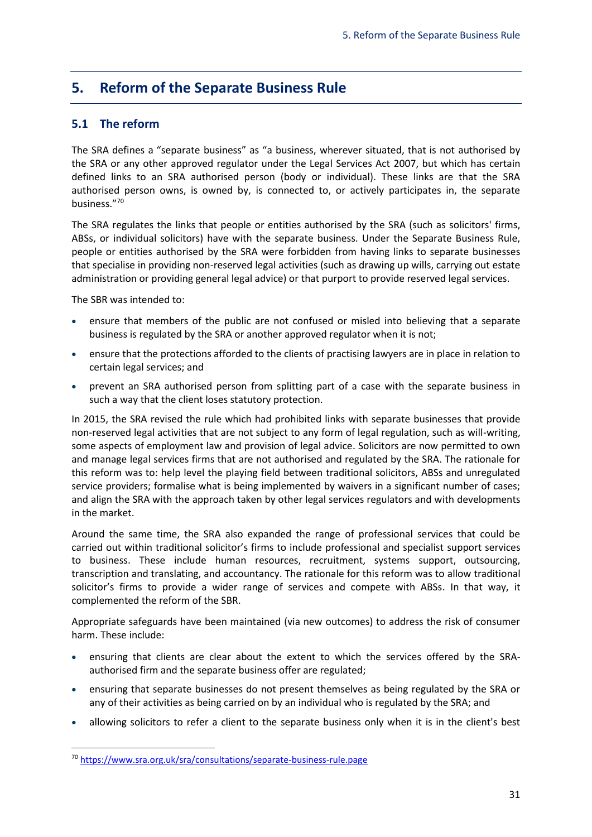# <span id="page-33-0"></span>**5. Reform of the Separate Business Rule**

# <span id="page-33-1"></span>**5.1 The reform**

The SRA defines a "separate business" as "a business, wherever situated, that is not authorised by the SRA or any other approved regulator under the Legal Services Act 2007, but which has certain defined links to an SRA authorised person (body or individual). These links are that the SRA authorised person owns, is owned by, is connected to, or actively participates in, the separate business." 70

The SRA regulates the links that people or entities authorised by the SRA (such as solicitors' firms, ABSs, or individual solicitors) have with the separate business. Under the Separate Business Rule, people or entities authorised by the SRA were forbidden from having links to separate businesses that specialise in providing non-reserved legal activities (such as drawing up wills, carrying out estate administration or providing general legal advice) or that purport to provide reserved legal services.

The SBR was intended to:

**.** 

- ensure that members of the public are not confused or misled into believing that a separate business is regulated by the SRA or another approved regulator when it is not;
- ensure that the protections afforded to the clients of practising lawyers are in place in relation to certain legal services; and
- prevent an SRA authorised person from splitting part of a case with the separate business in such a way that the client loses statutory protection.

In 2015, the SRA revised the rule which had prohibited links with separate businesses that provide non-reserved legal activities that are not subject to any form of legal regulation, such as will-writing, some aspects of employment law and provision of legal advice. Solicitors are now permitted to own and manage legal services firms that are not authorised and regulated by the SRA. The rationale for this reform was to: help level the playing field between traditional solicitors, ABSs and unregulated service providers; formalise what is being implemented by waivers in a significant number of cases; and align the SRA with the approach taken by other legal services regulators and with developments in the market.

Around the same time, the SRA also expanded the range of professional services that could be carried out within traditional solicitor's firms to include professional and specialist support services to business. These include human resources, recruitment, systems support, outsourcing, transcription and translating, and accountancy. The rationale for this reform was to allow traditional solicitor's firms to provide a wider range of services and compete with ABSs. In that way, it complemented the reform of the SBR.

Appropriate safeguards have been maintained (via new outcomes) to address the risk of consumer harm. These include:

- ensuring that clients are clear about the extent to which the services offered by the SRAauthorised firm and the separate business offer are regulated;
- ensuring that separate businesses do not present themselves as being regulated by the SRA or any of their activities as being carried on by an individual who is regulated by the SRA; and
- allowing solicitors to refer a client to the separate business only when it is in the client's best

<sup>70</sup> <https://www.sra.org.uk/sra/consultations/separate-business-rule.page>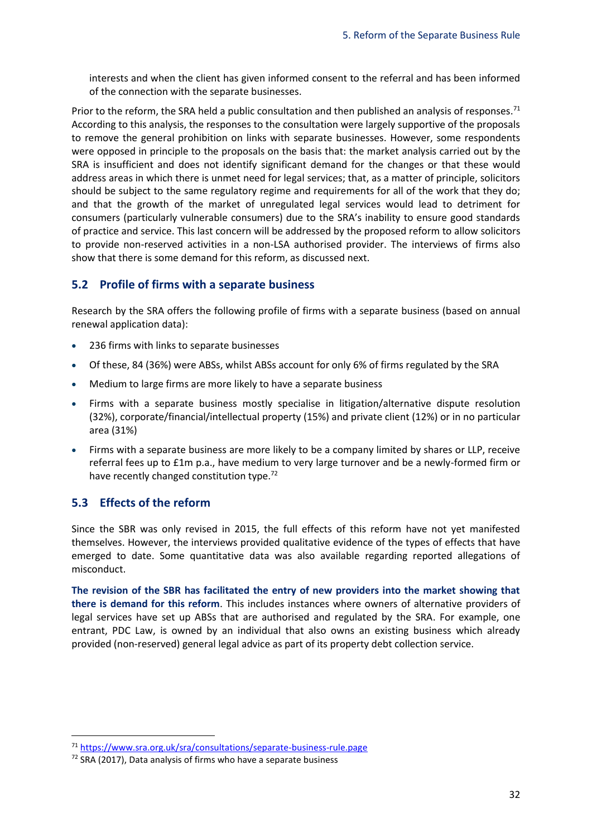interests and when the client has given informed consent to the referral and has been informed of the connection with the separate businesses.

Prior to the reform, the SRA held a public consultation and then published an analysis of responses.<sup>71</sup> According to this analysis, the responses to the consultation were largely supportive of the proposals to remove the general prohibition on links with separate businesses. However, some respondents were opposed in principle to the proposals on the basis that: the market analysis carried out by the SRA is insufficient and does not identify significant demand for the changes or that these would address areas in which there is unmet need for legal services; that, as a matter of principle, solicitors should be subject to the same regulatory regime and requirements for all of the work that they do; and that the growth of the market of unregulated legal services would lead to detriment for consumers (particularly vulnerable consumers) due to the SRA's inability to ensure good standards of practice and service. This last concern will be addressed by the proposed reform to allow solicitors to provide non-reserved activities in a non-LSA authorised provider. The interviews of firms also show that there is some demand for this reform, as discussed next.

### <span id="page-34-0"></span>**5.2 Profile of firms with a separate business**

Research by the SRA offers the following profile of firms with a separate business (based on annual renewal application data):

- 236 firms with links to separate businesses
- Of these, 84 (36%) were ABSs, whilst ABSs account for only 6% of firms regulated by the SRA
- Medium to large firms are more likely to have a separate business
- Firms with a separate business mostly specialise in litigation/alternative dispute resolution (32%), corporate/financial/intellectual property (15%) and private client (12%) or in no particular area (31%)
- Firms with a separate business are more likely to be a company limited by shares or LLP, receive referral fees up to £1m p.a., have medium to very large turnover and be a newly-formed firm or have recently changed constitution type.<sup>72</sup>

### <span id="page-34-1"></span>**5.3 Effects of the reform**

1

Since the SBR was only revised in 2015, the full effects of this reform have not yet manifested themselves. However, the interviews provided qualitative evidence of the types of effects that have emerged to date. Some quantitative data was also available regarding reported allegations of misconduct.

**The revision of the SBR has facilitated the entry of new providers into the market showing that there is demand for this reform**. This includes instances where owners of alternative providers of legal services have set up ABSs that are authorised and regulated by the SRA. For example, one entrant, PDC Law, is owned by an individual that also owns an existing business which already provided (non-reserved) general legal advice as part of its property debt collection service.

<sup>71</sup> <https://www.sra.org.uk/sra/consultations/separate-business-rule.page>

<sup>&</sup>lt;sup>72</sup> SRA (2017), Data analysis of firms who have a separate business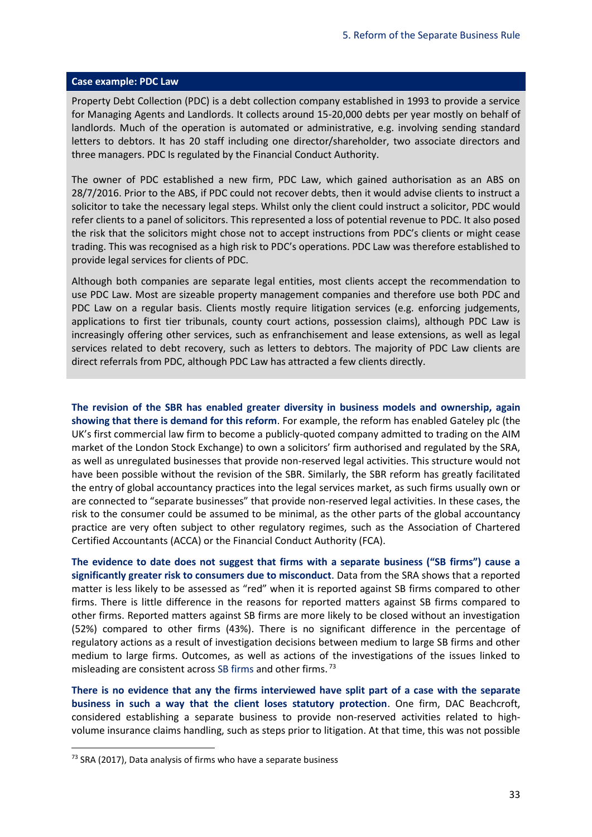#### **Case example: PDC Law**

Property Debt Collection (PDC) is a debt collection company established in 1993 to provide a service for Managing Agents and Landlords. It collects around 15-20,000 debts per year mostly on behalf of landlords. Much of the operation is automated or administrative, e.g. involving sending standard letters to debtors. It has 20 staff including one director/shareholder, two associate directors and three managers. PDC Is regulated by the Financial Conduct Authority.

The owner of PDC established a new firm, PDC Law, which gained authorisation as an ABS on 28/7/2016. Prior to the ABS, if PDC could not recover debts, then it would advise clients to instruct a solicitor to take the necessary legal steps. Whilst only the client could instruct a solicitor, PDC would refer clients to a panel of solicitors. This represented a loss of potential revenue to PDC. It also posed the risk that the solicitors might chose not to accept instructions from PDC's clients or might cease trading. This was recognised as a high risk to PDC's operations. PDC Law was therefore established to provide legal services for clients of PDC.

Although both companies are separate legal entities, most clients accept the recommendation to use PDC Law. Most are sizeable property management companies and therefore use both PDC and PDC Law on a regular basis. Clients mostly require litigation services (e.g. enforcing judgements, applications to first tier tribunals, county court actions, possession claims), although PDC Law is increasingly offering other services, such as enfranchisement and lease extensions, as well as legal services related to debt recovery, such as letters to debtors. The majority of PDC Law clients are direct referrals from PDC, although PDC Law has attracted a few clients directly.

**The revision of the SBR has enabled greater diversity in business models and ownership, again showing that there is demand for this reform**. For example, the reform has enabled Gateley plc (the UK's first commercial law firm to become a publicly-quoted company admitted to trading on the AIM market of the London Stock Exchange) to own a solicitors' firm authorised and regulated by the SRA, as well as unregulated businesses that provide non-reserved legal activities. This structure would not have been possible without the revision of the SBR. Similarly, the SBR reform has greatly facilitated the entry of global accountancy practices into the legal services market, as such firms usually own or are connected to "separate businesses" that provide non-reserved legal activities. In these cases, the risk to the consumer could be assumed to be minimal, as the other parts of the global accountancy practice are very often subject to other regulatory regimes, such as the Association of Chartered Certified Accountants (ACCA) or the Financial Conduct Authority (FCA).

**The evidence to date does not suggest that firms with a separate business ("SB firms") cause a significantly greater risk to consumers due to misconduct**. Data from the SRA shows that a reported matter is less likely to be assessed as "red" when it is reported against SB firms compared to other firms. There is little difference in the reasons for reported matters against SB firms compared to other firms. Reported matters against SB firms are more likely to be closed without an investigation (52%) compared to other firms (43%). There is no significant difference in the percentage of regulatory actions as a result of investigation decisions between medium to large SB firms and other medium to large firms. Outcomes, as well as actions of the investigations of the issues linked to misleading are consistent across SB firms and other firms.<sup>73</sup>

**There is no evidence that any the firms interviewed have split part of a case with the separate business in such a way that the client loses statutory protection**. One firm, DAC Beachcroft, considered establishing a separate business to provide non-reserved activities related to highvolume insurance claims handling, such as steps prior to litigation. At that time, this was not possible

<sup>&</sup>lt;sup>73</sup> SRA (2017), Data analysis of firms who have a separate business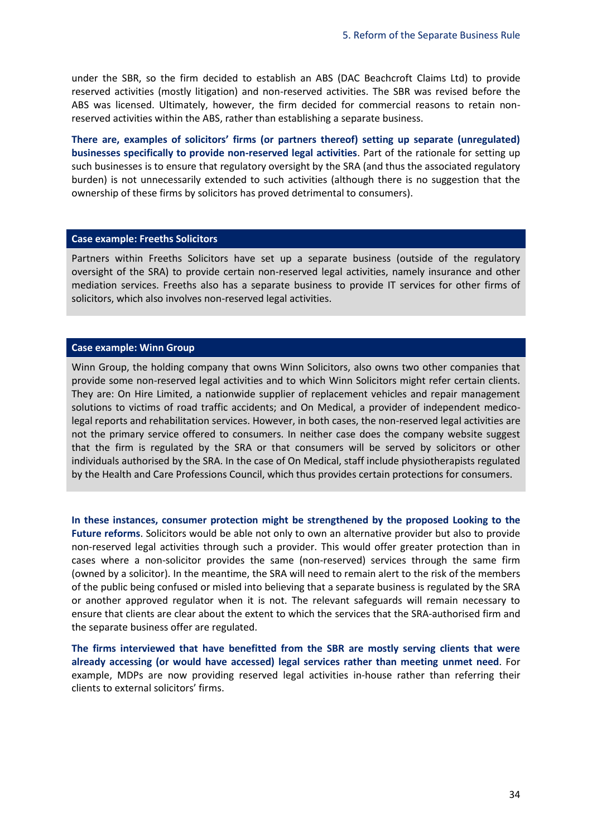under the SBR, so the firm decided to establish an ABS (DAC Beachcroft Claims Ltd) to provide reserved activities (mostly litigation) and non-reserved activities. The SBR was revised before the ABS was licensed. Ultimately, however, the firm decided for commercial reasons to retain nonreserved activities within the ABS, rather than establishing a separate business.

**There are, examples of solicitors' firms (or partners thereof) setting up separate (unregulated) businesses specifically to provide non-reserved legal activities**. Part of the rationale for setting up such businesses is to ensure that regulatory oversight by the SRA (and thus the associated regulatory burden) is not unnecessarily extended to such activities (although there is no suggestion that the ownership of these firms by solicitors has proved detrimental to consumers).

#### **Case example: Freeths Solicitors**

Partners within Freeths Solicitors have set up a separate business (outside of the regulatory oversight of the SRA) to provide certain non-reserved legal activities, namely insurance and other mediation services. Freeths also has a separate business to provide IT services for other firms of solicitors, which also involves non-reserved legal activities.

#### **Case example: Winn Group**

Winn Group, the holding company that owns Winn Solicitors, also owns two other companies that provide some non-reserved legal activities and to which Winn Solicitors might refer certain clients. They are: On Hire Limited, a nationwide supplier of replacement vehicles and repair management solutions to victims of road traffic accidents; and On Medical, a provider of independent medicolegal reports and rehabilitation services. However, in both cases, the non-reserved legal activities are not the primary service offered to consumers. In neither case does the company website suggest that the firm is regulated by the SRA or that consumers will be served by solicitors or other individuals authorised by the SRA. In the case of On Medical, staff include physiotherapists regulated by the Health and Care Professions Council, which thus provides certain protections for consumers.

**In these instances, consumer protection might be strengthened by the proposed Looking to the Future reforms**. Solicitors would be able not only to own an alternative provider but also to provide non-reserved legal activities through such a provider. This would offer greater protection than in cases where a non-solicitor provides the same (non-reserved) services through the same firm (owned by a solicitor). In the meantime, the SRA will need to remain alert to the risk of the members of the public being confused or misled into believing that a separate business is regulated by the SRA or another approved regulator when it is not. The relevant safeguards will remain necessary to ensure that clients are clear about the extent to which the services that the SRA-authorised firm and the separate business offer are regulated.

**The firms interviewed that have benefitted from the SBR are mostly serving clients that were already accessing (or would have accessed) legal services rather than meeting unmet need**. For example, MDPs are now providing reserved legal activities in-house rather than referring their clients to external solicitors' firms.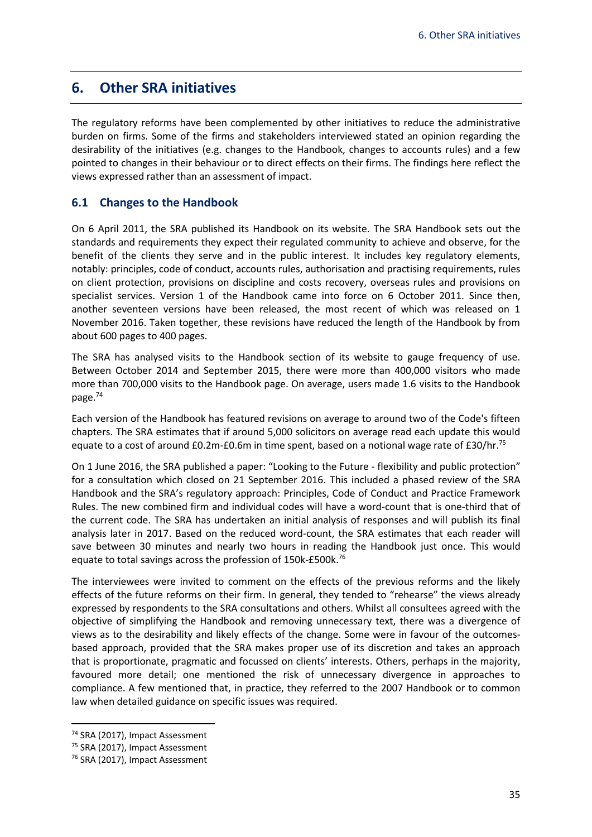# <span id="page-37-0"></span>**6. Other SRA initiatives**

The regulatory reforms have been complemented by other initiatives to reduce the administrative burden on firms. Some of the firms and stakeholders interviewed stated an opinion regarding the desirability of the initiatives (e.g. changes to the Handbook, changes to accounts rules) and a few pointed to changes in their behaviour or to direct effects on their firms. The findings here reflect the views expressed rather than an assessment of impact.

### <span id="page-37-1"></span>**6.1 Changes to the Handbook**

On 6 April 2011, the SRA published its Handbook on its website. The SRA Handbook sets out the standards and requirements they expect their regulated community to achieve and observe, for the benefit of the clients they serve and in the public interest. It includes key regulatory elements, notably: principles, code of conduct, accounts rules, authorisation and practising requirements, rules on client protection, provisions on discipline and costs recovery, overseas rules and provisions on specialist services. Version 1 of the Handbook came into force on 6 October 2011. Since then, another seventeen versions have been released, the most recent of which was released on 1 November 2016. Taken together, these revisions have reduced the length of the Handbook by from about 600 pages to 400 pages.

The SRA has analysed visits to the Handbook section of its website to gauge frequency of use. Between October 2014 and September 2015, there were more than 400,000 visitors who made more than 700,000 visits to the Handbook page. On average, users made 1.6 visits to the Handbook page.<sup>74</sup>

Each version of the Handbook has featured revisions on average to around two of the Code's fifteen chapters. The SRA estimates that if around 5,000 solicitors on average read each update this would equate to a cost of around £0.2m-£0.6m in time spent, based on a notional wage rate of £30/hr.<sup>75</sup>

On 1 June 2016, the SRA published a paper: "Looking to the Future - flexibility and public protection" for a consultation which closed on 21 September 2016. This included a phased review of the SRA Handbook and the SRA's regulatory approach: Principles, Code of Conduct and Practice Framework Rules. The new combined firm and individual codes will have a word-count that is one-third that of the current code. The SRA has undertaken an initial analysis of responses and will publish its final analysis later in 2017. Based on the reduced word-count, the SRA estimates that each reader will save between 30 minutes and nearly two hours in reading the Handbook just once. This would equate to total savings across the profession of 150k-£500k.<sup>76</sup>

The interviewees were invited to comment on the effects of the previous reforms and the likely effects of the future reforms on their firm. In general, they tended to "rehearse" the views already expressed by respondents to the SRA consultations and others. Whilst all consultees agreed with the objective of simplifying the Handbook and removing unnecessary text, there was a divergence of views as to the desirability and likely effects of the change. Some were in favour of the outcomesbased approach, provided that the SRA makes proper use of its discretion and takes an approach that is proportionate, pragmatic and focussed on clients' interests. Others, perhaps in the majority, favoured more detail; one mentioned the risk of unnecessary divergence in approaches to compliance. A few mentioned that, in practice, they referred to the 2007 Handbook or to common law when detailed guidance on specific issues was required.

<sup>74</sup> SRA (2017), Impact Assessment

<sup>75</sup> SRA (2017), Impact Assessment

<sup>76</sup> SRA (2017), Impact Assessment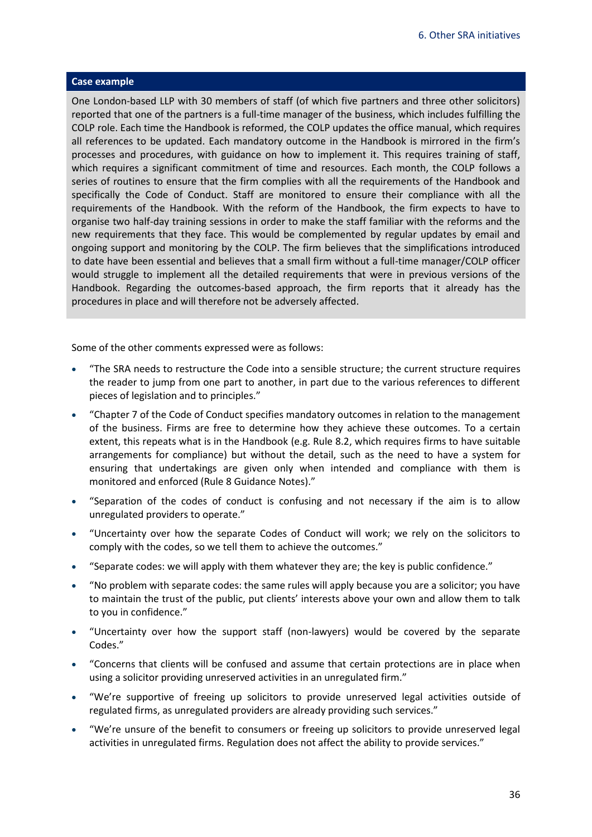#### **Case example**

One London-based LLP with 30 members of staff (of which five partners and three other solicitors) reported that one of the partners is a full-time manager of the business, which includes fulfilling the COLP role. Each time the Handbook is reformed, the COLP updates the office manual, which requires all references to be updated. Each mandatory outcome in the Handbook is mirrored in the firm's processes and procedures, with guidance on how to implement it. This requires training of staff, which requires a significant commitment of time and resources. Each month, the COLP follows a series of routines to ensure that the firm complies with all the requirements of the Handbook and specifically the Code of Conduct. Staff are monitored to ensure their compliance with all the requirements of the Handbook. With the reform of the Handbook, the firm expects to have to organise two half-day training sessions in order to make the staff familiar with the reforms and the new requirements that they face. This would be complemented by regular updates by email and ongoing support and monitoring by the COLP. The firm believes that the simplifications introduced to date have been essential and believes that a small firm without a full-time manager/COLP officer would struggle to implement all the detailed requirements that were in previous versions of the Handbook. Regarding the outcomes-based approach, the firm reports that it already has the procedures in place and will therefore not be adversely affected.

Some of the other comments expressed were as follows:

- "The SRA needs to restructure the Code into a sensible structure; the current structure requires the reader to jump from one part to another, in part due to the various references to different pieces of legislation and to principles."
- "Chapter 7 of the Code of Conduct specifies mandatory outcomes in relation to the management of the business. Firms are free to determine how they achieve these outcomes. To a certain extent, this repeats what is in the Handbook (e.g. Rule 8.2, which requires firms to have suitable arrangements for compliance) but without the detail, such as the need to have a system for ensuring that undertakings are given only when intended and compliance with them is monitored and enforced (Rule 8 Guidance Notes)."
- "Separation of the codes of conduct is confusing and not necessary if the aim is to allow unregulated providers to operate."
- "Uncertainty over how the separate Codes of Conduct will work; we rely on the solicitors to comply with the codes, so we tell them to achieve the outcomes."
- "Separate codes: we will apply with them whatever they are; the key is public confidence."
- "No problem with separate codes: the same rules will apply because you are a solicitor; you have to maintain the trust of the public, put clients' interests above your own and allow them to talk to you in confidence."
- "Uncertainty over how the support staff (non-lawyers) would be covered by the separate Codes."
- "Concerns that clients will be confused and assume that certain protections are in place when using a solicitor providing unreserved activities in an unregulated firm."
- "We're supportive of freeing up solicitors to provide unreserved legal activities outside of regulated firms, as unregulated providers are already providing such services."
- "We're unsure of the benefit to consumers or freeing up solicitors to provide unreserved legal activities in unregulated firms. Regulation does not affect the ability to provide services."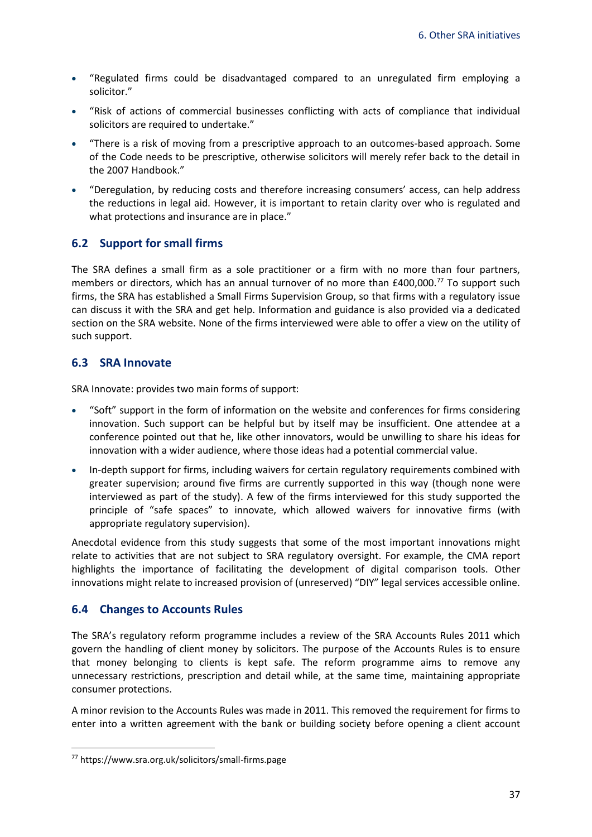- "Regulated firms could be disadvantaged compared to an unregulated firm employing a solicitor."
- "Risk of actions of commercial businesses conflicting with acts of compliance that individual solicitors are required to undertake."
- "There is a risk of moving from a prescriptive approach to an outcomes-based approach. Some of the Code needs to be prescriptive, otherwise solicitors will merely refer back to the detail in the 2007 Handbook."
- "Deregulation, by reducing costs and therefore increasing consumers' access, can help address the reductions in legal aid. However, it is important to retain clarity over who is regulated and what protections and insurance are in place."

### <span id="page-39-0"></span>**6.2 Support for small firms**

The SRA defines a small firm as a sole practitioner or a firm with no more than four partners, members or directors, which has an annual turnover of no more than £400,000.<sup>77</sup> To support such firms, the SRA has established a Small Firms Supervision Group, so that firms with a regulatory issue can discuss it with the SRA and get help. Information and guidance is also provided via a dedicated section on the SRA website. None of the firms interviewed were able to offer a view on the utility of such support.

# <span id="page-39-1"></span>**6.3 SRA Innovate**

SRA Innovate: provides two main forms of support:

- "Soft" support in the form of information on the website and conferences for firms considering innovation. Such support can be helpful but by itself may be insufficient. One attendee at a conference pointed out that he, like other innovators, would be unwilling to share his ideas for innovation with a wider audience, where those ideas had a potential commercial value.
- In-depth support for firms, including waivers for certain regulatory requirements combined with greater supervision; around five firms are currently supported in this way (though none were interviewed as part of the study). A few of the firms interviewed for this study supported the principle of "safe spaces" to innovate, which allowed waivers for innovative firms (with appropriate regulatory supervision).

Anecdotal evidence from this study suggests that some of the most important innovations might relate to activities that are not subject to SRA regulatory oversight. For example, the CMA report highlights the importance of facilitating the development of digital comparison tools. Other innovations might relate to increased provision of (unreserved) "DIY" legal services accessible online.

# <span id="page-39-2"></span>**6.4 Changes to Accounts Rules**

The SRA's regulatory reform programme includes a review of the SRA Accounts Rules 2011 which govern the handling of client money by solicitors. The purpose of the Accounts Rules is to ensure that money belonging to clients is kept safe. The reform programme aims to remove any unnecessary restrictions, prescription and detail while, at the same time, maintaining appropriate consumer protections.

A minor revision to the Accounts Rules was made in 2011. This removed the requirement for firms to enter into a written agreement with the bank or building society before opening a client account

<sup>77</sup> https://www.sra.org.uk/solicitors/small-firms.page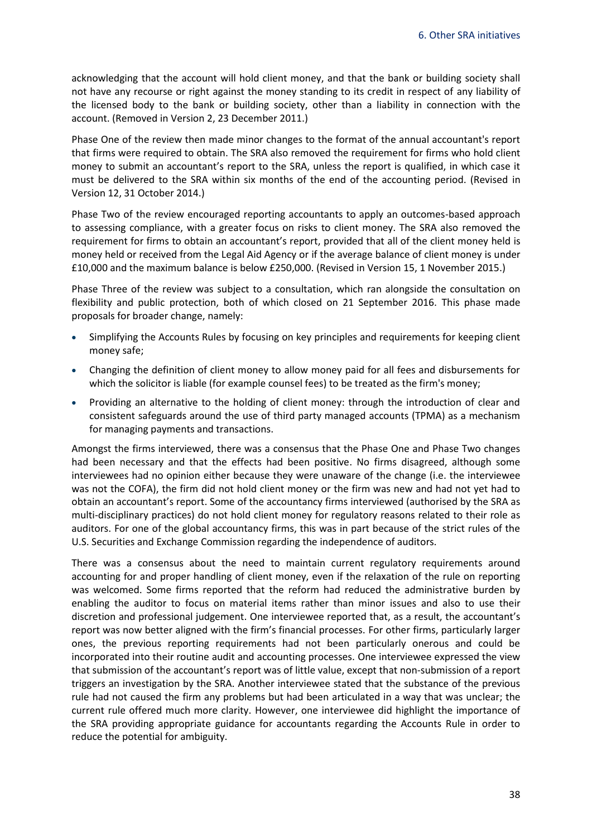acknowledging that the account will hold client money, and that the bank or building society shall not have any recourse or right against the money standing to its credit in respect of any liability of the licensed body to the bank or building society, other than a liability in connection with the account. (Removed in Version 2, 23 December 2011.)

Phase One of the review then made minor changes to the format of the annual accountant's report that firms were required to obtain. The SRA also removed the requirement for firms who hold client money to submit an accountant's report to the SRA, unless the report is qualified, in which case it must be delivered to the SRA within six months of the end of the accounting period. (Revised in Version 12, 31 October 2014.)

Phase Two of the review encouraged reporting accountants to apply an outcomes-based approach to assessing compliance, with a greater focus on risks to client money. The SRA also removed the requirement for firms to obtain an accountant's report, provided that all of the client money held is money held or received from the Legal Aid Agency or if the average balance of client money is under £10,000 and the maximum balance is below £250,000. (Revised in Version 15, 1 November 2015.)

Phase Three of the review was subject to a consultation, which ran alongside the consultation on flexibility and public protection, both of which closed on 21 September 2016. This phase made proposals for broader change, namely:

- Simplifying the Accounts Rules by focusing on key principles and requirements for keeping client money safe;
- Changing the definition of client money to allow money paid for all fees and disbursements for which the solicitor is liable (for example counsel fees) to be treated as the firm's money;
- Providing an alternative to the holding of client money: through the introduction of clear and consistent safeguards around the use of third party managed accounts (TPMA) as a mechanism for managing payments and transactions.

Amongst the firms interviewed, there was a consensus that the Phase One and Phase Two changes had been necessary and that the effects had been positive. No firms disagreed, although some interviewees had no opinion either because they were unaware of the change (i.e. the interviewee was not the COFA), the firm did not hold client money or the firm was new and had not yet had to obtain an accountant's report. Some of the accountancy firms interviewed (authorised by the SRA as multi-disciplinary practices) do not hold client money for regulatory reasons related to their role as auditors. For one of the global accountancy firms, this was in part because of the strict rules of the U.S. Securities and Exchange Commission regarding the independence of auditors.

There was a consensus about the need to maintain current regulatory requirements around accounting for and proper handling of client money, even if the relaxation of the rule on reporting was welcomed. Some firms reported that the reform had reduced the administrative burden by enabling the auditor to focus on material items rather than minor issues and also to use their discretion and professional judgement. One interviewee reported that, as a result, the accountant's report was now better aligned with the firm's financial processes. For other firms, particularly larger ones, the previous reporting requirements had not been particularly onerous and could be incorporated into their routine audit and accounting processes. One interviewee expressed the view that submission of the accountant's report was of little value, except that non-submission of a report triggers an investigation by the SRA. Another interviewee stated that the substance of the previous rule had not caused the firm any problems but had been articulated in a way that was unclear; the current rule offered much more clarity. However, one interviewee did highlight the importance of the SRA providing appropriate guidance for accountants regarding the Accounts Rule in order to reduce the potential for ambiguity.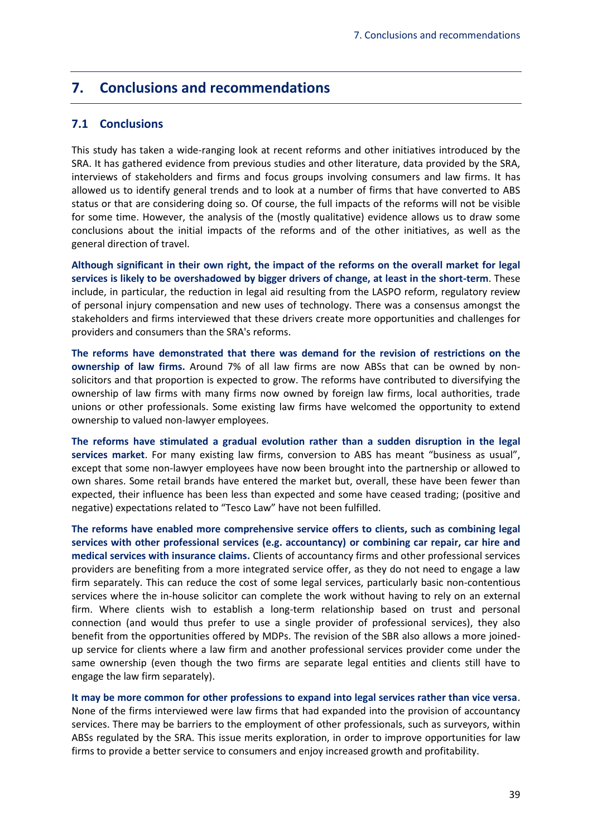# <span id="page-41-0"></span>**7. Conclusions and recommendations**

### <span id="page-41-1"></span>**7.1 Conclusions**

This study has taken a wide-ranging look at recent reforms and other initiatives introduced by the SRA. It has gathered evidence from previous studies and other literature, data provided by the SRA, interviews of stakeholders and firms and focus groups involving consumers and law firms. It has allowed us to identify general trends and to look at a number of firms that have converted to ABS status or that are considering doing so. Of course, the full impacts of the reforms will not be visible for some time. However, the analysis of the (mostly qualitative) evidence allows us to draw some conclusions about the initial impacts of the reforms and of the other initiatives, as well as the general direction of travel.

**Although significant in their own right, the impact of the reforms on the overall market for legal services is likely to be overshadowed by bigger drivers of change, at least in the short-term**. These include, in particular, the reduction in legal aid resulting from the LASPO reform, regulatory review of personal injury compensation and new uses of technology. There was a consensus amongst the stakeholders and firms interviewed that these drivers create more opportunities and challenges for providers and consumers than the SRA's reforms.

**The reforms have demonstrated that there was demand for the revision of restrictions on the ownership of law firms.** Around 7% of all law firms are now ABSs that can be owned by nonsolicitors and that proportion is expected to grow. The reforms have contributed to diversifying the ownership of law firms with many firms now owned by foreign law firms, local authorities, trade unions or other professionals. Some existing law firms have welcomed the opportunity to extend ownership to valued non-lawyer employees.

**The reforms have stimulated a gradual evolution rather than a sudden disruption in the legal services market**. For many existing law firms, conversion to ABS has meant "business as usual", except that some non-lawyer employees have now been brought into the partnership or allowed to own shares. Some retail brands have entered the market but, overall, these have been fewer than expected, their influence has been less than expected and some have ceased trading; (positive and negative) expectations related to "Tesco Law" have not been fulfilled.

**The reforms have enabled more comprehensive service offers to clients, such as combining legal services with other professional services (e.g. accountancy) or combining car repair, car hire and medical services with insurance claims.** Clients of accountancy firms and other professional services providers are benefiting from a more integrated service offer, as they do not need to engage a law firm separately. This can reduce the cost of some legal services, particularly basic non-contentious services where the in-house solicitor can complete the work without having to rely on an external firm. Where clients wish to establish a long-term relationship based on trust and personal connection (and would thus prefer to use a single provider of professional services), they also benefit from the opportunities offered by MDPs. The revision of the SBR also allows a more joinedup service for clients where a law firm and another professional services provider come under the same ownership (even though the two firms are separate legal entities and clients still have to engage the law firm separately).

**It may be more common for other professions to expand into legal services rather than vice versa**. None of the firms interviewed were law firms that had expanded into the provision of accountancy services. There may be barriers to the employment of other professionals, such as surveyors, within ABSs regulated by the SRA. This issue merits exploration, in order to improve opportunities for law firms to provide a better service to consumers and enjoy increased growth and profitability.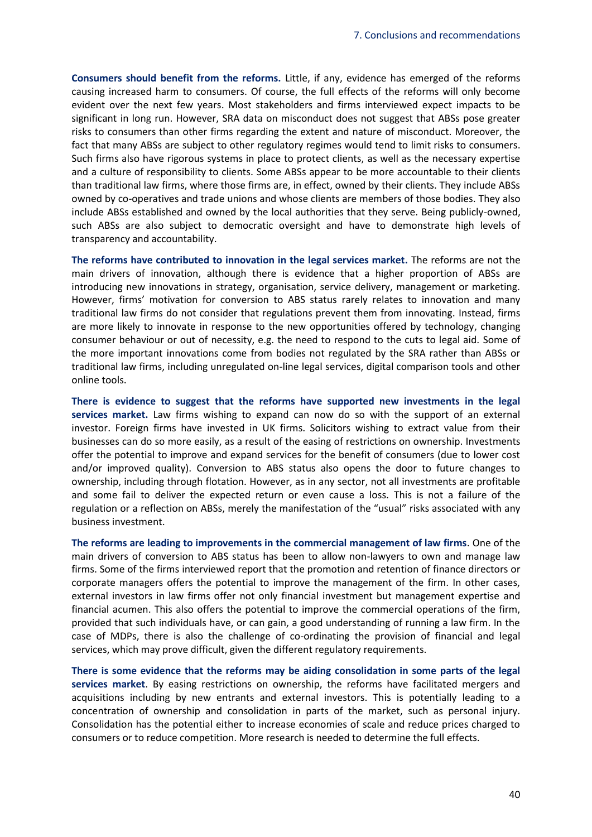**Consumers should benefit from the reforms.** Little, if any, evidence has emerged of the reforms causing increased harm to consumers. Of course, the full effects of the reforms will only become evident over the next few years. Most stakeholders and firms interviewed expect impacts to be significant in long run. However, SRA data on misconduct does not suggest that ABSs pose greater risks to consumers than other firms regarding the extent and nature of misconduct. Moreover, the fact that many ABSs are subject to other regulatory regimes would tend to limit risks to consumers. Such firms also have rigorous systems in place to protect clients, as well as the necessary expertise and a culture of responsibility to clients. Some ABSs appear to be more accountable to their clients than traditional law firms, where those firms are, in effect, owned by their clients. They include ABSs owned by co-operatives and trade unions and whose clients are members of those bodies. They also include ABSs established and owned by the local authorities that they serve. Being publicly-owned, such ABSs are also subject to democratic oversight and have to demonstrate high levels of transparency and accountability.

**The reforms have contributed to innovation in the legal services market.** The reforms are not the main drivers of innovation, although there is evidence that a higher proportion of ABSs are introducing new innovations in strategy, organisation, service delivery, management or marketing. However, firms' motivation for conversion to ABS status rarely relates to innovation and many traditional law firms do not consider that regulations prevent them from innovating. Instead, firms are more likely to innovate in response to the new opportunities offered by technology, changing consumer behaviour or out of necessity, e.g. the need to respond to the cuts to legal aid. Some of the more important innovations come from bodies not regulated by the SRA rather than ABSs or traditional law firms, including unregulated on-line legal services, digital comparison tools and other online tools.

**There is evidence to suggest that the reforms have supported new investments in the legal services market.** Law firms wishing to expand can now do so with the support of an external investor. Foreign firms have invested in UK firms. Solicitors wishing to extract value from their businesses can do so more easily, as a result of the easing of restrictions on ownership. Investments offer the potential to improve and expand services for the benefit of consumers (due to lower cost and/or improved quality). Conversion to ABS status also opens the door to future changes to ownership, including through flotation. However, as in any sector, not all investments are profitable and some fail to deliver the expected return or even cause a loss. This is not a failure of the regulation or a reflection on ABSs, merely the manifestation of the "usual" risks associated with any business investment.

**The reforms are leading to improvements in the commercial management of law firms**. One of the main drivers of conversion to ABS status has been to allow non-lawyers to own and manage law firms. Some of the firms interviewed report that the promotion and retention of finance directors or corporate managers offers the potential to improve the management of the firm. In other cases, external investors in law firms offer not only financial investment but management expertise and financial acumen. This also offers the potential to improve the commercial operations of the firm, provided that such individuals have, or can gain, a good understanding of running a law firm. In the case of MDPs, there is also the challenge of co-ordinating the provision of financial and legal services, which may prove difficult, given the different regulatory requirements.

**There is some evidence that the reforms may be aiding consolidation in some parts of the legal services market**. By easing restrictions on ownership, the reforms have facilitated mergers and acquisitions including by new entrants and external investors. This is potentially leading to a concentration of ownership and consolidation in parts of the market, such as personal injury. Consolidation has the potential either to increase economies of scale and reduce prices charged to consumers or to reduce competition. More research is needed to determine the full effects.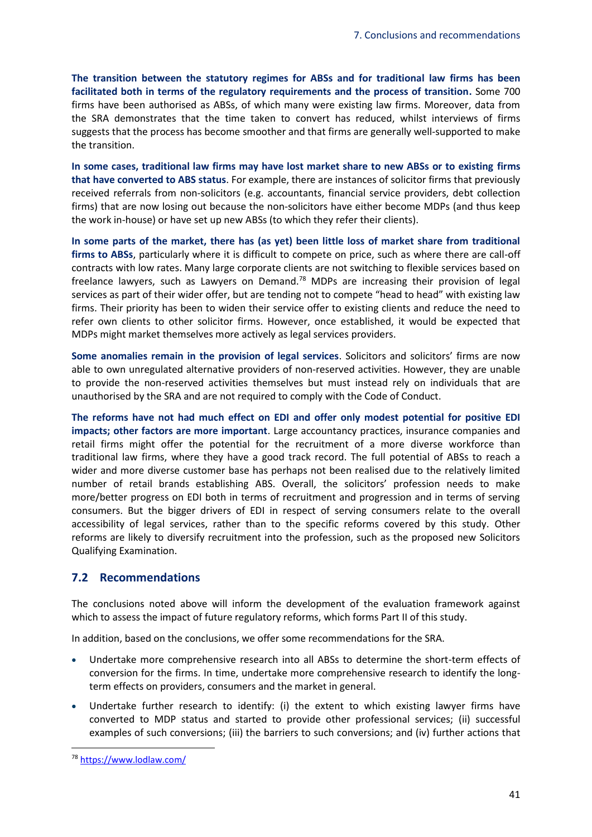**The transition between the statutory regimes for ABSs and for traditional law firms has been facilitated both in terms of the regulatory requirements and the process of transition.** Some 700 firms have been authorised as ABSs, of which many were existing law firms. Moreover, data from the SRA demonstrates that the time taken to convert has reduced, whilst interviews of firms suggests that the process has become smoother and that firms are generally well-supported to make the transition.

**In some cases, traditional law firms may have lost market share to new ABSs or to existing firms that have converted to ABS status**. For example, there are instances of solicitor firms that previously received referrals from non-solicitors (e.g. accountants, financial service providers, debt collection firms) that are now losing out because the non-solicitors have either become MDPs (and thus keep the work in-house) or have set up new ABSs (to which they refer their clients).

**In some parts of the market, there has (as yet) been little loss of market share from traditional firms to ABSs**, particularly where it is difficult to compete on price, such as where there are call-off contracts with low rates. Many large corporate clients are not switching to flexible services based on freelance lawyers, such as Lawyers on Demand.<sup>78</sup> MDPs are increasing their provision of legal services as part of their wider offer, but are tending not to compete "head to head" with existing law firms. Their priority has been to widen their service offer to existing clients and reduce the need to refer own clients to other solicitor firms. However, once established, it would be expected that MDPs might market themselves more actively as legal services providers.

**Some anomalies remain in the provision of legal services**. Solicitors and solicitors' firms are now able to own unregulated alternative providers of non-reserved activities. However, they are unable to provide the non-reserved activities themselves but must instead rely on individuals that are unauthorised by the SRA and are not required to comply with the Code of Conduct.

**The reforms have not had much effect on EDI and offer only modest potential for positive EDI impacts; other factors are more important**. Large accountancy practices, insurance companies and retail firms might offer the potential for the recruitment of a more diverse workforce than traditional law firms, where they have a good track record. The full potential of ABSs to reach a wider and more diverse customer base has perhaps not been realised due to the relatively limited number of retail brands establishing ABS. Overall, the solicitors' profession needs to make more/better progress on EDI both in terms of recruitment and progression and in terms of serving consumers. But the bigger drivers of EDI in respect of serving consumers relate to the overall accessibility of legal services, rather than to the specific reforms covered by this study. Other reforms are likely to diversify recruitment into the profession, such as the proposed new Solicitors Qualifying Examination.

#### <span id="page-43-0"></span>**7.2 Recommendations**

The conclusions noted above will inform the development of the evaluation framework against which to assess the impact of future regulatory reforms, which forms Part II of this study.

In addition, based on the conclusions, we offer some recommendations for the SRA.

- Undertake more comprehensive research into all ABSs to determine the short-term effects of conversion for the firms. In time, undertake more comprehensive research to identify the longterm effects on providers, consumers and the market in general.
- Undertake further research to identify: (i) the extent to which existing lawyer firms have converted to MDP status and started to provide other professional services; (ii) successful examples of such conversions; (iii) the barriers to such conversions; and (iv) further actions that

<sup>78</sup> <https://www.lodlaw.com/>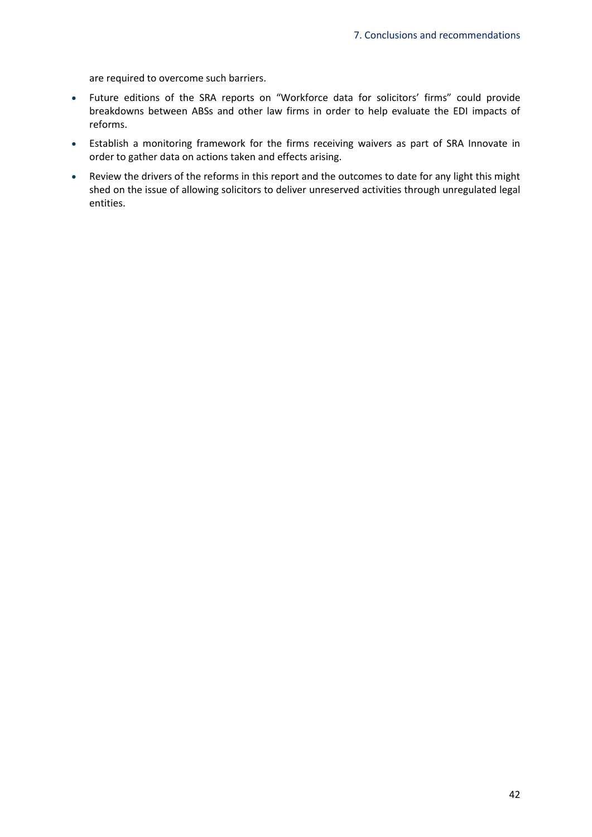are required to overcome such barriers.

- Future editions of the SRA reports on "Workforce data for solicitors' firms" could provide breakdowns between ABSs and other law firms in order to help evaluate the EDI impacts of reforms.
- Establish a monitoring framework for the firms receiving waivers as part of SRA Innovate in order to gather data on actions taken and effects arising.
- Review the drivers of the reforms in this report and the outcomes to date for any light this might shed on the issue of allowing solicitors to deliver unreserved activities through unregulated legal entities.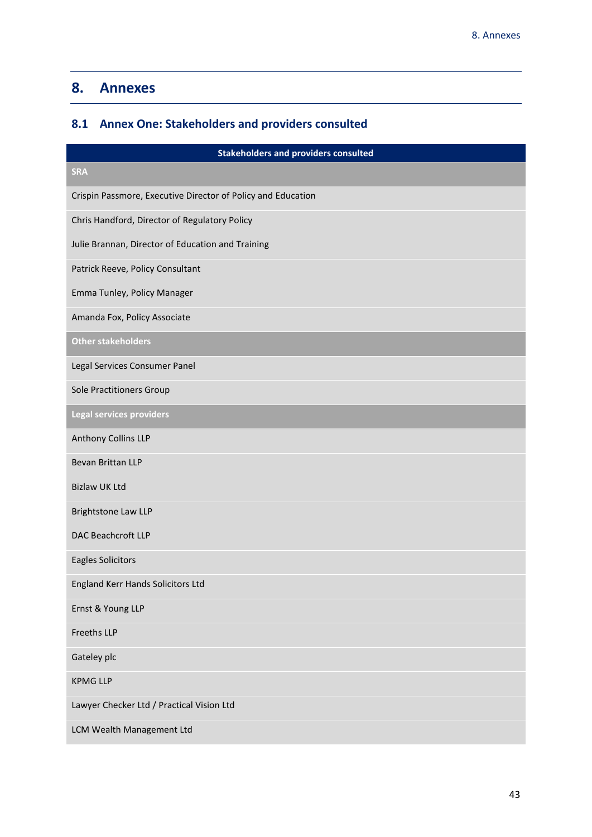# <span id="page-45-0"></span>**8. Annexes**

# <span id="page-45-1"></span>**8.1 Annex One: Stakeholders and providers consulted**

| <b>Stakeholders and providers consulted</b>                  |
|--------------------------------------------------------------|
| <b>SRA</b>                                                   |
| Crispin Passmore, Executive Director of Policy and Education |
| Chris Handford, Director of Regulatory Policy                |
| Julie Brannan, Director of Education and Training            |
| Patrick Reeve, Policy Consultant                             |
| Emma Tunley, Policy Manager                                  |
| Amanda Fox, Policy Associate                                 |
| <b>Other stakeholders</b>                                    |
| Legal Services Consumer Panel                                |
| <b>Sole Practitioners Group</b>                              |
| Legal services providers                                     |
| Anthony Collins LLP                                          |
| Bevan Brittan LLP                                            |
| <b>Bizlaw UK Ltd</b>                                         |
| <b>Brightstone Law LLP</b>                                   |
| <b>DAC Beachcroft LLP</b>                                    |
| <b>Eagles Solicitors</b>                                     |
| <b>England Kerr Hands Solicitors Ltd</b>                     |
| Ernst & Young LLP                                            |
| <b>Freeths LLP</b>                                           |
| Gateley plc                                                  |
| <b>KPMG LLP</b>                                              |
| Lawyer Checker Ltd / Practical Vision Ltd                    |
| LCM Wealth Management Ltd                                    |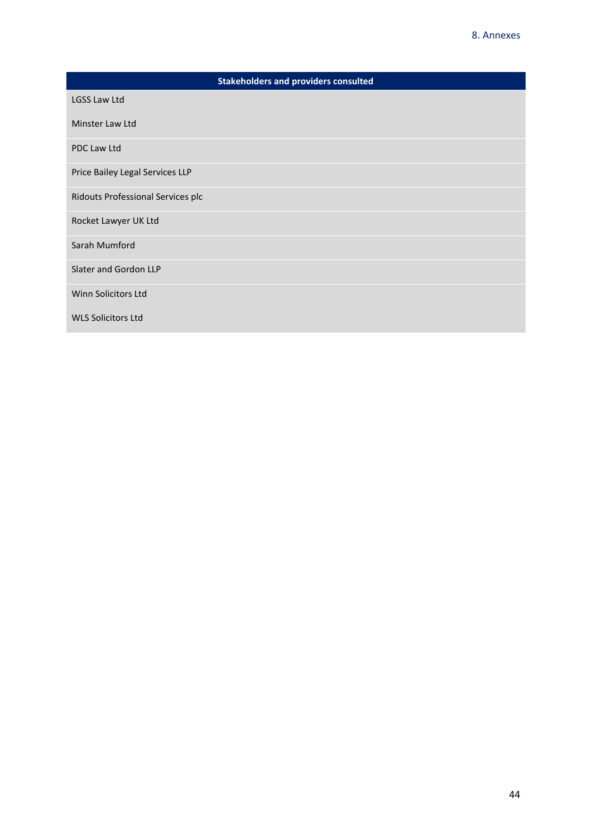| <b>Stakeholders and providers consulted</b> |
|---------------------------------------------|
| <b>LGSS Law Ltd</b>                         |
| Minster Law Ltd                             |
| <b>PDC Law Ltd</b>                          |
| Price Bailey Legal Services LLP             |
| Ridouts Professional Services plc           |
| Rocket Lawyer UK Ltd                        |
| Sarah Mumford                               |
| Slater and Gordon LLP                       |
| Winn Solicitors Ltd                         |
| <b>WLS Solicitors Ltd</b>                   |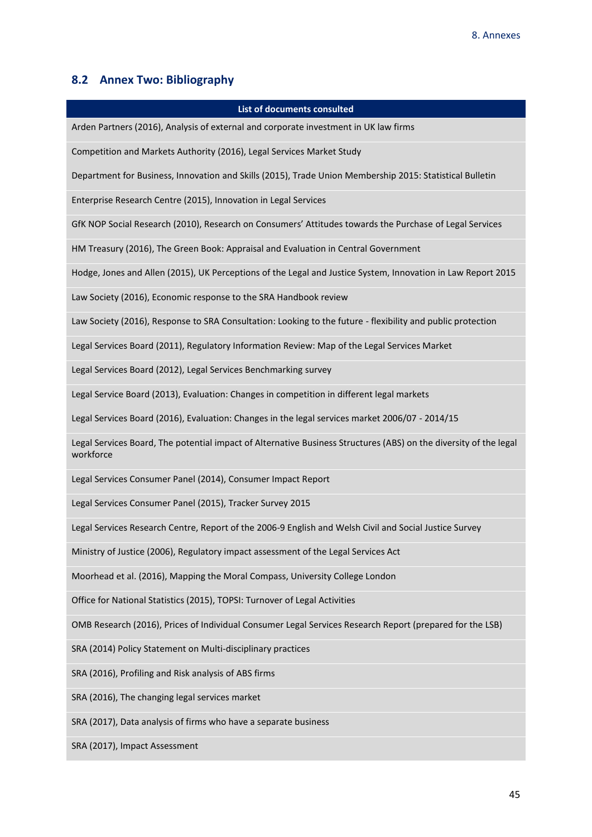# <span id="page-47-0"></span>**8.2 Annex Two: Bibliography**

| <b>List of documents consulted</b>                                                                                             |
|--------------------------------------------------------------------------------------------------------------------------------|
| Arden Partners (2016), Analysis of external and corporate investment in UK law firms                                           |
| Competition and Markets Authority (2016), Legal Services Market Study                                                          |
| Department for Business, Innovation and Skills (2015), Trade Union Membership 2015: Statistical Bulletin                       |
| Enterprise Research Centre (2015), Innovation in Legal Services                                                                |
| GfK NOP Social Research (2010), Research on Consumers' Attitudes towards the Purchase of Legal Services                        |
| HM Treasury (2016), The Green Book: Appraisal and Evaluation in Central Government                                             |
| Hodge, Jones and Allen (2015), UK Perceptions of the Legal and Justice System, Innovation in Law Report 2015                   |
| Law Society (2016), Economic response to the SRA Handbook review                                                               |
| Law Society (2016), Response to SRA Consultation: Looking to the future - flexibility and public protection                    |
| Legal Services Board (2011), Regulatory Information Review: Map of the Legal Services Market                                   |
| Legal Services Board (2012), Legal Services Benchmarking survey                                                                |
| Legal Service Board (2013), Evaluation: Changes in competition in different legal markets                                      |
| Legal Services Board (2016), Evaluation: Changes in the legal services market 2006/07 - 2014/15                                |
| Legal Services Board, The potential impact of Alternative Business Structures (ABS) on the diversity of the legal<br>workforce |
| Legal Services Consumer Panel (2014), Consumer Impact Report                                                                   |
| Legal Services Consumer Panel (2015), Tracker Survey 2015                                                                      |
| Legal Services Research Centre, Report of the 2006-9 English and Welsh Civil and Social Justice Survey                         |
| Ministry of Justice (2006), Regulatory impact assessment of the Legal Services Act                                             |
| Moorhead et al. (2016), Mapping the Moral Compass, University College London                                                   |
| Office for National Statistics (2015), TOPSI: Turnover of Legal Activities                                                     |
| OMB Research (2016), Prices of Individual Consumer Legal Services Research Report (prepared for the LSB)                       |
| SRA (2014) Policy Statement on Multi-disciplinary practices                                                                    |
| SRA (2016), Profiling and Risk analysis of ABS firms                                                                           |
| SRA (2016), The changing legal services market                                                                                 |
| SRA (2017), Data analysis of firms who have a separate business                                                                |
| SRA (2017), Impact Assessment                                                                                                  |